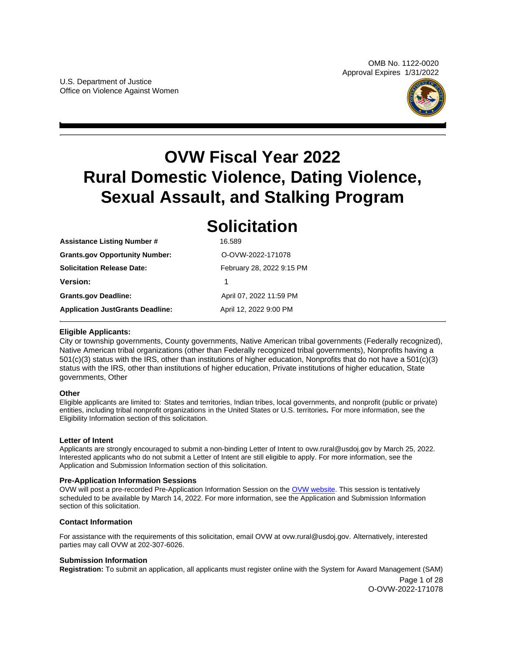

# <span id="page-0-0"></span>**OVW Fiscal Year 2022 Rural Domestic Violence, Dating Violence, Sexual Assault, and Stalking Program**

# **Solicitation**

| <b>Assistance Listing Number #</b>      | 16.589                    |  |
|-----------------------------------------|---------------------------|--|
| <b>Grants.gov Opportunity Number:</b>   | O-OVW-2022-171078         |  |
| Solicitation Release Date:              | February 28, 2022 9:15 PM |  |
| Version:                                | 1                         |  |
| <b>Grants.gov Deadline:</b>             | April 07, 2022 11:59 PM   |  |
| <b>Application JustGrants Deadline:</b> | April 12, 2022 9:00 PM    |  |

# **Eligible Applicants:**

City or township governments, County governments, Native American tribal governments (Federally recognized), Native American tribal organizations (other than Federally recognized tribal governments), Nonprofits having a 501(c)(3) status with the IRS, other than institutions of higher education, Nonprofits that do not have a 501(c)(3) status with the IRS, other than institutions of higher education, Private institutions of higher education, State governments, Other

# **Other**

Eligible applicants are limited to: States and territories, Indian tribes, local governments, and nonprofit (public or private) entities, including tribal nonprofit organizations in the United States or U.S. territories**.** For more information, see the Eligibility Information section of this solicitation.

# **Letter of Intent**

Applicants are strongly encouraged to submit a non-binding Letter of Intent to [ovw.rural@usdoj.gov](mailto:ovw.rural@usdoj.gov) by March 25, 2022. Interested applicants who do not submit a Letter of Intent are still eligible to apply. For more information, see the Application and Submission Information section of this solicitation.

# **Pre-Application Information Sessions**

OVW will post a pre-recorded Pre-Application Information Session on the [OVW website.](https://www.justice.gov/ovw/resources-applicants#Program Specific) This session is tentatively scheduled to be available by March 14, 2022. For more information, see the Application and Submission Information section of this solicitation.

# **Contact Information**

For assistance with the requirements of this solicitation, email OVW at [ovw.rural@usdoj.gov.](mailto:ovw.rural@usdoj.gov) Alternatively, interested parties may call OVW at 202-307-6026.

# **Submission Information**

**Registration:** To submit an application, all applicants must register online with the System for Award Management (SAM)

Page 1 of 28 O-OVW-2022-171078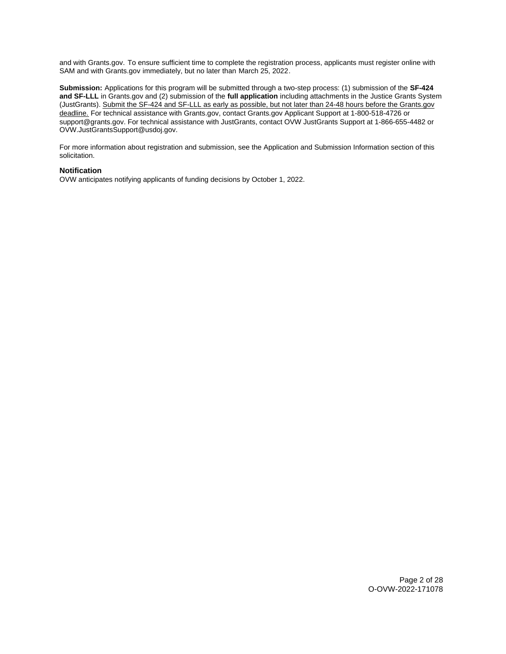and with [Grants.gov.](https://Grants.gov) To ensure sufficient time to complete the registration process, applicants must register online with SAM and with [Grants.gov](https://Grants.gov) immediately, but no later than March 25, 2022.

**Submission:** Applications for this program will be submitted through a two-step process: (1) submission of the **SF-424 and SF-LLL** in [Grants.gov](https://Grants.gov) and (2) submission of the **full application** including attachments in the Justice Grants System (JustGrants). Submit the SF-424 and SF-LLL as early as possible, but not later than 24-48 hours before the [Grants.gov](https://Grants.gov)  deadline. For technical assistance with [Grants.gov,](https://Grants.gov) contact [Grants.gov](https://Grants.gov) Applicant Support at 1-800-518-4726 or [support@grants.gov.](mailto:support@grants.gov) For technical assistance with JustGrants, contact OVW JustGrants Support at 1-866-655-4482 or [OVW.JustGrantsSupport@usdoj.gov.](mailto:OVW.JustGrantsSupport@usdoj.gov)

For more information about registration and submission, see the Application and Submission Information section of this solicitation.

#### **Notification**

OVW anticipates notifying applicants of funding decisions by October 1, 2022.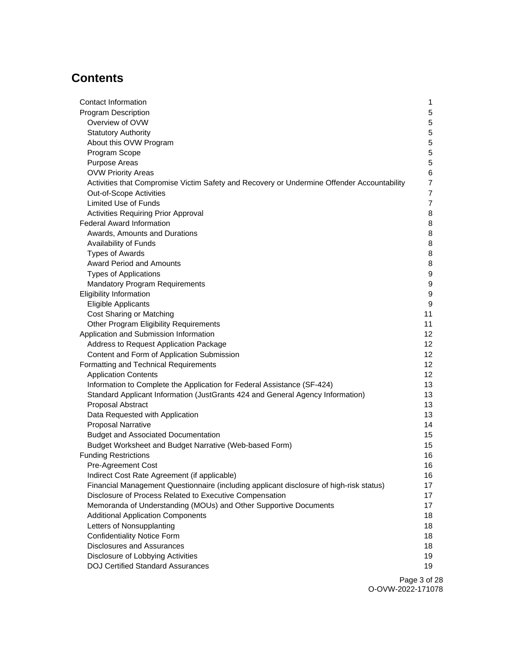# **Contents**

| Contact Information                                                                        | 1                |
|--------------------------------------------------------------------------------------------|------------------|
| <b>Program Description</b>                                                                 | 5                |
| Overview of OVW                                                                            | 5                |
| <b>Statutory Authority</b>                                                                 | 5                |
| About this OVW Program                                                                     | 5                |
| Program Scope                                                                              | 5                |
| <b>Purpose Areas</b>                                                                       | 5                |
| <b>OVW Priority Areas</b>                                                                  | $\,6$            |
| Activities that Compromise Victim Safety and Recovery or Undermine Offender Accountability | $\overline{7}$   |
| Out-of-Scope Activities                                                                    | $\overline{7}$   |
| <b>Limited Use of Funds</b>                                                                | $\overline{7}$   |
| <b>Activities Requiring Prior Approval</b>                                                 | 8                |
| Federal Award Information                                                                  | 8                |
| Awards, Amounts and Durations                                                              | 8                |
| Availability of Funds                                                                      | 8                |
| <b>Types of Awards</b>                                                                     | 8                |
| <b>Award Period and Amounts</b>                                                            | 8                |
| <b>Types of Applications</b>                                                               | $\boldsymbol{9}$ |
| Mandatory Program Requirements                                                             | $\boldsymbol{9}$ |
| <b>Eligibility Information</b>                                                             | $\boldsymbol{9}$ |
| <b>Eligible Applicants</b>                                                                 | 9                |
| <b>Cost Sharing or Matching</b>                                                            | 11               |
| Other Program Eligibility Requirements                                                     | 11               |
| Application and Submission Information                                                     | 12               |
| Address to Request Application Package                                                     | 12               |
| Content and Form of Application Submission                                                 | 12               |
| Formatting and Technical Requirements                                                      | 12               |
| <b>Application Contents</b>                                                                | 12               |
| Information to Complete the Application for Federal Assistance (SF-424)                    | 13               |
| Standard Applicant Information (JustGrants 424 and General Agency Information)             | 13               |
| Proposal Abstract                                                                          | 13               |
| Data Requested with Application                                                            | 13               |
| <b>Proposal Narrative</b>                                                                  | 14               |
| <b>Budget and Associated Documentation</b>                                                 | 15               |
| Budget Worksheet and Budget Narrative (Web-based Form)                                     | 15               |
| <b>Funding Restrictions</b>                                                                | 16               |
| <b>Pre-Agreement Cost</b>                                                                  | 16               |
| Indirect Cost Rate Agreement (if applicable)                                               | 16               |
| Financial Management Questionnaire (including applicant disclosure of high-risk status)    | 17               |
| Disclosure of Process Related to Executive Compensation                                    | 17               |
| Memoranda of Understanding (MOUs) and Other Supportive Documents                           | 17               |
| <b>Additional Application Components</b>                                                   | 18               |
| Letters of Nonsupplanting                                                                  | 18               |
| <b>Confidentiality Notice Form</b>                                                         | 18               |
| <b>Disclosures and Assurances</b>                                                          | 18               |
| Disclosure of Lobbying Activities                                                          | 19               |
| <b>DOJ Certified Standard Assurances</b>                                                   | 19               |
|                                                                                            |                  |

Page 3 of 28 O-OVW-2022-171078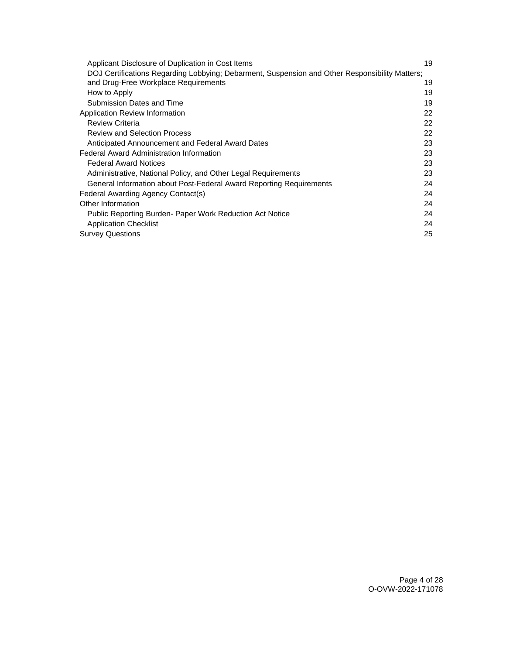| Applicant Disclosure of Duplication in Cost Items                                              | 19 |
|------------------------------------------------------------------------------------------------|----|
| DOJ Certifications Regarding Lobbying; Debarment, Suspension and Other Responsibility Matters; |    |
| and Drug-Free Workplace Requirements                                                           | 19 |
| How to Apply                                                                                   | 19 |
| Submission Dates and Time                                                                      | 19 |
| Application Review Information                                                                 | 22 |
| <b>Review Criteria</b>                                                                         | 22 |
| <b>Review and Selection Process</b>                                                            | 22 |
| Anticipated Announcement and Federal Award Dates                                               | 23 |
| <b>Federal Award Administration Information</b>                                                | 23 |
| <b>Federal Award Notices</b>                                                                   | 23 |
| Administrative, National Policy, and Other Legal Requirements                                  | 23 |
| General Information about Post-Federal Award Reporting Requirements                            | 24 |
| Federal Awarding Agency Contact(s)                                                             | 24 |
| Other Information                                                                              | 24 |
| Public Reporting Burden- Paper Work Reduction Act Notice                                       | 24 |
| <b>Application Checklist</b>                                                                   | 24 |
| <b>Survey Questions</b>                                                                        | 25 |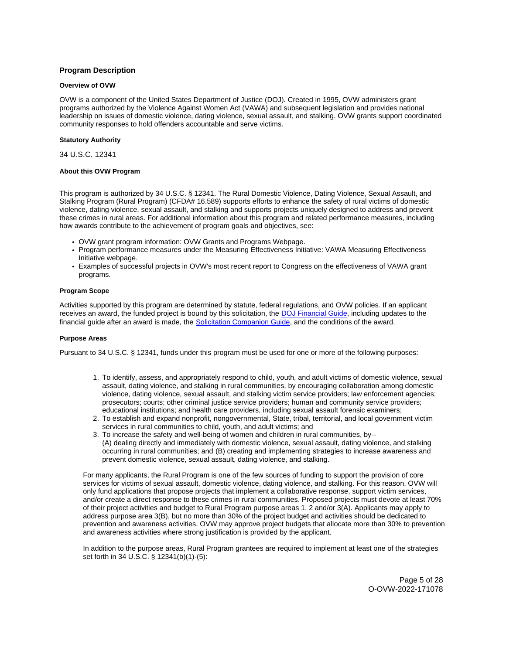# <span id="page-4-0"></span>**Program Description**

#### **Overview of OVW**

OVW is a component of the United States Department of Justice (DOJ). Created in 1995, OVW administers grant programs authorized by the Violence Against Women Act (VAWA) and subsequent legislation and provides national leadership on issues of domestic violence, dating violence, sexual assault, and stalking. OVW grants support coordinated community responses to hold offenders accountable and serve victims.

#### **Statutory Authority**

34 U.S.C. 12341

#### **About this OVW Program**

This program is authorized by 34 U.S.C. § 12341. The Rural Domestic Violence, Dating Violence, Sexual Assault, and Stalking Program (Rural Program) (CFDA# 16.589) supports efforts to enhance the safety of rural victims of domestic violence, dating violence, sexual assault, and stalking and supports projects uniquely designed to address and prevent these crimes in rural areas. For additional information about this program and related performance measures, including how awards contribute to the achievement of program goals and objectives, see:

- OVW grant program information: OVW Grants and Programs Webpage.
- Program performance measures under the Measuring Effectiveness Initiative: VAWA Measuring Effectiveness Initiative webpage.
- Examples of successful projects in OVW's most recent report to Congress on the effectiveness of VAWA grant programs.

#### **Program Scope**

Activities supported by this program are determined by statute, federal regulations, and OVW policies. If an applicant receives an award, the funded project is bound by this solicitation, the [DOJ Financial Guide,](https://www.justice.gov/ovw/page/file/1298396/download) including updates to the financial guide after an award is made, the [Solicitation Companion Guide,](https://www.justice.gov/ovw/resources-applicants) and the conditions of the award.

#### **Purpose Areas**

Pursuant to 34 U.S.C. § 12341, funds under this program must be used for one or more of the following purposes:

- 1. To identify, assess, and appropriately respond to child, youth, and adult victims of domestic violence, sexual assault, dating violence, and stalking in rural communities, by encouraging collaboration among domestic violence, dating violence, sexual assault, and stalking victim service providers; law enforcement agencies; prosecutors; courts; other criminal justice service providers; human and community service providers; educational institutions; and health care providers, including sexual assault forensic examiners;
- 2. To establish and expand nonprofit, nongovernmental, State, tribal, territorial, and local government victim services in rural communities to child, youth, and adult victims; and
- 3. To increase the safety and well-being of women and children in rural communities, by-- (A) dealing directly and immediately with domestic violence, sexual assault, dating violence, and stalking occurring in rural communities; and (B) creating and implementing strategies to increase awareness and prevent domestic violence, sexual assault, dating violence, and stalking.

For many applicants, the Rural Program is one of the few sources of funding to support the provision of core services for victims of sexual assault, domestic violence, dating violence, and stalking. For this reason, OVW will only fund applications that propose projects that implement a collaborative response, support victim services, and/or create a direct response to these crimes in rural communities. Proposed projects must devote at least 70% of their project activities and budget to Rural Program purpose areas 1, 2 and/or 3(A). Applicants may apply to address purpose area 3(B), but no more than 30% of the project budget and activities should be dedicated to prevention and awareness activities. OVW may approve project budgets that allocate more than 30% to prevention and awareness activities where strong justification is provided by the applicant.

In addition to the purpose areas, Rural Program grantees are required to implement at least one of the strategies set forth in 34 U.S.C. § 12341(b)(1)-(5):

> Page 5 of 28 O-OVW-2022-171078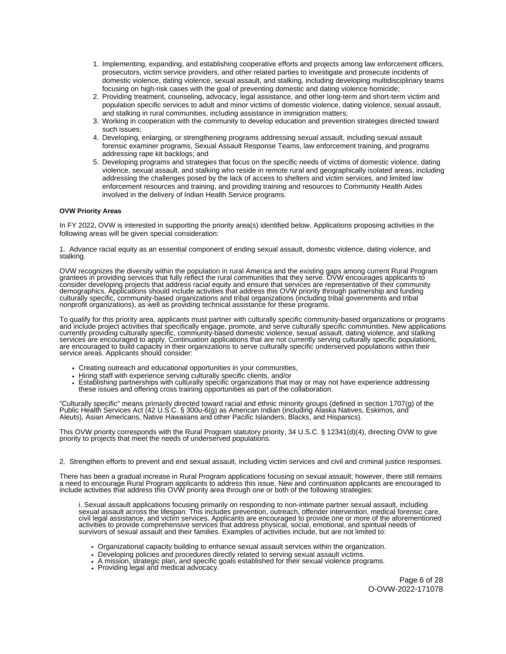- <span id="page-5-0"></span>1. Implementing, expanding, and establishing cooperative efforts and projects among law enforcement officers, prosecutors, victim service providers, and other related parties to investigate and prosecute incidents of domestic violence, dating violence, sexual assault, and stalking, including developing multidisciplinary teams focusing on high-risk cases with the goal of preventing domestic and dating violence homicide;
- 2. Providing treatment, counseling, advocacy, legal assistance, and other long-term and short-term victim and population specific services to adult and minor victims of domestic violence, dating violence, sexual assault, and stalking in rural communities, including assistance in immigration matters;
- 3. Working in cooperation with the community to develop education and prevention strategies directed toward such issues;
- 4. Developing, enlarging, or strengthening programs addressing sexual assault, including sexual assault forensic examiner programs, Sexual Assault Response Teams, law enforcement training, and programs addressing rape kit backlogs; and
- 5. Developing programs and strategies that focus on the specific needs of victims of domestic violence, dating violence, sexual assault, and stalking who reside in remote rural and geographically isolated areas, including addressing the challenges posed by the lack of access to shelters and victim services, and limited law enforcement resources and training, and providing training and resources to Community Health Aides involved in the delivery of Indian Health Service programs.

#### **OVW Priority Areas**

In FY 2022, OVW is interested in supporting the priority area(s) identified below. Applications proposing activities in the following areas will be given special consideration:

1. Advance racial equity as an essential component of ending sexual assault, domestic violence, dating violence, and stalking.

OVW recognizes the diversity within the population in rural America and the existing gaps among current Rural Program grantees in providing services that fully reflect the rural communities that they serve. OVW encourages applicants to consider developing projects that address racial equity and ensure that services are representative of their community demographics. Applications should include activities that address this OVW priority through partnership and funding culturally specific, community-based organizations and tribal organizations (including tribal governments and tribal nonprofit organizations), as well as providing technical assistance for these programs.

To qualify for this priority area, applicants must partner with culturally specific community-based organizations or programs and include project activities that specifically engage, promote, and serve culturally specific communities. New applications currently providing culturally specific, community-based domestic violence, sexual assault, dating violence, and stalking services are encouraged to apply. Continuation applications that are not currently serving culturally specific populations, are encouraged to build capacity in their organizations to serve culturally specific underserved populations within their service areas. Applicants should consider:

- Creating outreach and educational opportunities in your communities,
- Hiring staff with experience serving culturally specific clients, and/or
- Establishing partnerships with culturally specific organizations that may or may not have experience addressing these issues and offering cross training opportunities as part of the collaboration.

"Culturally specific" means primarily directed toward racial and ethnic minority groups (defined in section 1707(g) of the Public Health Services Act (42 U.S.C. § 300u-6(g) as American Indian (including Alaska Natives, Eskimos, and Aleuts), Asian Americans, Native Hawaiians and other Pacific Islanders, Blacks, and Hispanics).

This OVW priority corresponds with the Rural Program statutory priority, 34 U.S.C. § 12341(d)(4), directing OVW to give priority to projects that meet the needs of underserved populations.

2. Strengthen efforts to prevent and end sexual assault, including victim services and civil and criminal justice responses.

There has been a gradual increase in Rural Program applications focusing on sexual assault; however, there still remains a need to encourage Rural Program applicants to address this issue. New and continuation applicants are encouraged to include activities that address this OVW priority area through one or both of the following strategies:

i. Sexual assault applications focusing primarily on responding to non-intimate partner sexual assault, including sexual assault across the lifespan. This includes prevention, outreach, offender intervention, medical forensic care, civil legal assistance, and victim services. Applicants are encouraged to provide one or more of the aforementioned activities to provide comprehensive services that address physical, social, emotional, and spiritual needs of survivors of sexual assault and their families. Examples of activities include, but are not limited to:

- Organizational capacity building to enhance sexual assault services within the organization.
- Developing policies and procedures directly related to serving sexual assault victims.
- A mission, strategic plan, and specific goals established for their sexual violence programs.
- Providing legal and medical advocacy.

Page 6 of 28 O-OVW-2022-171078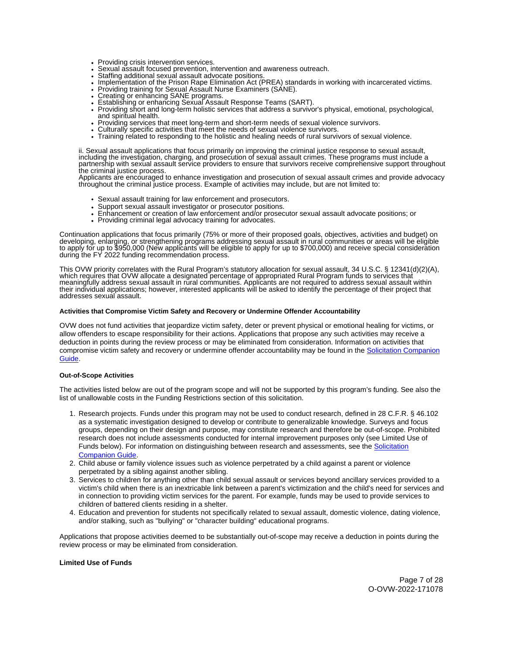- 
- <span id="page-6-0"></span>Providing crisis intervention services.<br>Sexual assault focused prevention, intervention and awareness outreach. Sexual assault focused prevention, intervention and awareness outreach.<br>Staffing additional sexual assault advocate positions.
- 
- Implementation of the Prison Rape Elimination Act (PREA) standards in working with incarcerated victims.
- Providing training for Sexual Assault Nurse Examiners (SANE). Creating or enhancing SANE programs.
- 
- Establishing or enhancing Sexual Assault Response Teams (SART).
- Providing short and long-term holistic services that address a survivor's physical, emotional, psychological, and spiritual health.
- Providing services that meet long-term and short-term needs of sexual violence survivors. Culturally specific activities that meet the needs of sexual violence survivors.
- 
- Training related to responding to the holistic and healing needs of rural survivors of sexual violence.

ii. Sexual assault applications that focus primarily on improving the criminal justice response to sexual assault, including the investigation, charging, and prosecution of sexual assault crimes. These programs must include a partnership with sexual assault service providers to ensure that survivors receive comprehensive support throughout the criminal justice process.

Applicants are encouraged to enhance investigation and prosecution of sexual assault crimes and provide advocacy throughout the criminal justice process. Example of activities may include, but are not limited to:

- Sexual assault training for law enforcement and prosecutors.
- Support sexual assault investigator or prosecutor positions.
- Enhancement or creation of law enforcement and/or prosecutor sexual assault advocate positions; or
- Providing criminal legal advocacy training for advocates.

Continuation applications that focus primarily (75% or more of their proposed goals, objectives, activities and budget) on developing, enlarging, or strengthening programs addressing sexual assault in rural communities or areas will be eligible to apply for up to \$950,000 (New applicants will be eligible to apply for up to \$700,000) and receive special consideration during the FY 2022 funding recommendation process.

This OVW priority correlates with the Rural Program's statutory allocation for sexual assault, 34 U.S.C. § 12341(d)(2)(A), which requires that OVW allocate a designated percentage of appropriated Rural Program funds to services that meaningfully address sexual assault in rural communities. Applicants are not required to address sexual assault within their individual applications; however, interested applicants will be asked to identify the percentage of their project that addresses sexual assault.

#### **Activities that Compromise Victim Safety and Recovery or Undermine Offender Accountability**

OVW does not fund activities that jeopardize victim safety, deter or prevent physical or emotional healing for victims, or allow offenders to escape responsibility for their actions. Applications that propose any such activities may receive a deduction in points during the review process or may be eliminated from consideration. Information on activities that compromise victim safety and recovery or undermine offender accountability may be found in the [Solicitation Companion](https://www.justice.gov/ovw/resources-applicants)  [Guide.](https://www.justice.gov/ovw/resources-applicants)

#### **Out-of-Scope Activities**

The activities listed below are out of the program scope and will not be supported by this program's funding. See also the list of unallowable costs in the Funding Restrictions section of this solicitation.

- 1. Research projects. Funds under this program may not be used to conduct research, defined in 28 C.F.R. § 46.102 as a systematic investigation designed to develop or contribute to generalizable knowledge. Surveys and focus groups, depending on their design and purpose, may constitute research and therefore be out-of-scope. Prohibited research does not include assessments conducted for internal improvement purposes only (see Limited Use of Funds below). For information on distinguishing between research and assessments, see the [Solicitation](https://www.justice.gov/ovw/resources-applicants)  [Companion Guide.](https://www.justice.gov/ovw/resources-applicants)
- 2. Child abuse or family violence issues such as violence perpetrated by a child against a parent or violence perpetrated by a sibling against another sibling.
- 3. Services to children for anything other than child sexual assault or services beyond ancillary services provided to a victim's child when there is an inextricable link between a parent's victimization and the child's need for services and in connection to providing victim services for the parent. For example, funds may be used to provide services to children of battered clients residing in a shelter.
- 4. Education and prevention for students not specifically related to sexual assault, domestic violence, dating violence, and/or stalking, such as "bullying" or "character building" educational programs.

Applications that propose activities deemed to be substantially out-of-scope may receive a deduction in points during the review process or may be eliminated from consideration.

#### **Limited Use of Funds**

Page 7 of 28 O-OVW-2022-171078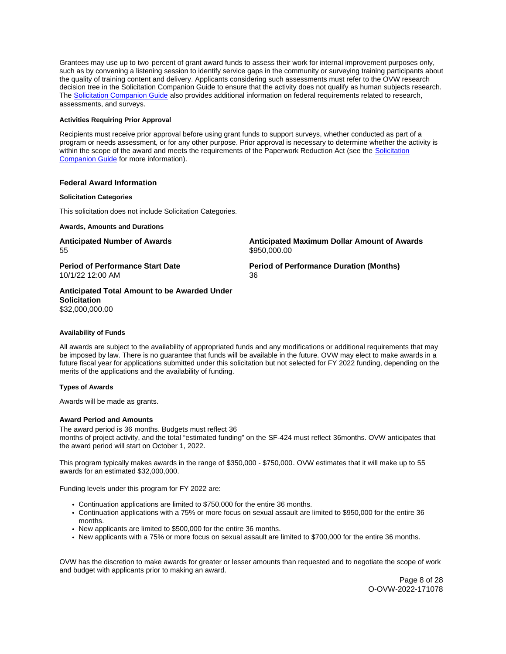<span id="page-7-0"></span>Grantees may use up to two percent of grant award funds to assess their work for internal improvement purposes only, such as by convening a listening session to identify service gaps in the community or surveying training participants about the quality of training content and delivery. Applicants considering such assessments must refer to the OVW research decision tree in the Solicitation Companion Guide to ensure that the activity does not qualify as human subjects research. The [Solicitation Companion Guide](https://www.justice.gov/ovw/resources-applicants) also provides additional information on federal requirements related to research, assessments, and surveys.

# **Activities Requiring Prior Approval**

Recipients must receive prior approval before using grant funds to support surveys, whether conducted as part of a program or needs assessment, or for any other purpose. Prior approval is necessary to determine whether the activity is within the scope of the award and meets the requirements of the Paperwork Reduction Act (see the Solicitation [Companion Guide](https://www.justice.gov/ovw/resources-applicants) for more information).

# **Federal Award Information**

#### **Solicitation Categories**

This solicitation does not include Solicitation Categories.

**Awards, Amounts and Durations** 

55 \$950,000.00

**Period of Performance Start Date Mate Review Period of Performance Duration (Months)** 10/1/22 12:00 AM 36

**Anticipated Number of Awards Anticipated Maximum Dollar Amount of Awards** 

**Anticipated Total Amount to be Awarded Under Solicitation**  \$32,000,000.00

#### **Availability of Funds**

All awards are subject to the availability of appropriated funds and any modifications or additional requirements that may be imposed by law. There is no guarantee that funds will be available in the future. OVW may elect to make awards in a future fiscal year for applications submitted under this solicitation but not selected for FY 2022 funding, depending on the merits of the applications and the availability of funding.

#### **Types of Awards**

Awards will be made as grants.

#### **Award Period and Amounts**

The award period is 36 months. Budgets must reflect 36 months of project activity, and the total "estimated funding" on the SF-424 must reflect 36months. OVW anticipates that the award period will start on October 1, 2022.

This program typically makes awards in the range of \$350,000 - \$750,000. OVW estimates that it will make up to 55 awards for an estimated \$32,000,000.

Funding levels under this program for FY 2022 are:

- Continuation applications are limited to \$750,000 for the entire 36 months.
- Continuation applications with a 75% or more focus on sexual assault are limited to \$950,000 for the entire 36 months.
- New applicants are limited to \$500,000 for the entire 36 months.
- New applicants with a 75% or more focus on sexual assault are limited to \$700,000 for the entire 36 months.

OVW has the discretion to make awards for greater or lesser amounts than requested and to negotiate the scope of work and budget with applicants prior to making an award.

> Page 8 of 28 O-OVW-2022-171078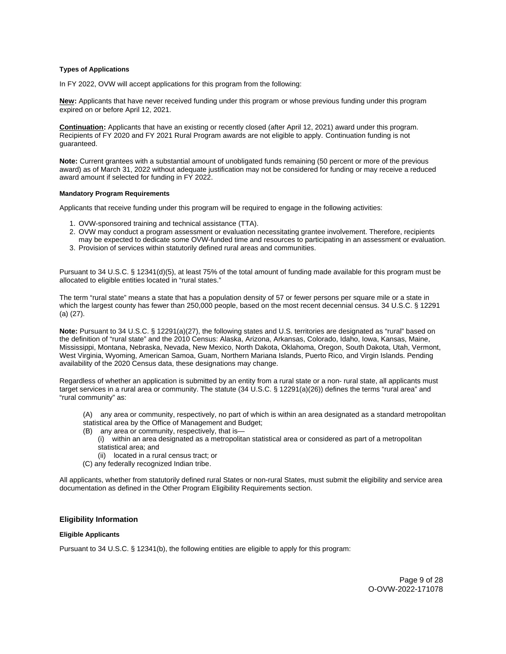#### <span id="page-8-0"></span>**Types of Applications**

In FY 2022, OVW will accept applications for this program from the following:

 expired on or before April 12, 2021. **New:** Applicants that have never received funding under this program or whose previous funding under this program

**Continuation:** Applicants that have an existing or recently closed (after April 12, 2021) award under this program. Recipients of FY 2020 and FY 2021 Rural Program awards are not eligible to apply. Continuation funding is not guaranteed.

**Note:** Current grantees with a substantial amount of unobligated funds remaining (50 percent or more of the previous award) as of March 31, 2022 without adequate justification may not be considered for funding or may receive a reduced award amount if selected for funding in FY 2022.

#### **Mandatory Program Requirements**

Applicants that receive funding under this program will be required to engage in the following activities:

- 1. OVW-sponsored training and technical assistance (TTA).
- 2. OVW may conduct a program assessment or evaluation necessitating grantee involvement. Therefore, recipients may be expected to dedicate some OVW-funded time and resources to participating in an assessment or evaluation.
- 3. Provision of services within statutorily defined rural areas and communities.

Pursuant to 34 U.S.C. § 12341(d)(5), at least 75% of the total amount of funding made available for this program must be allocated to eligible entities located in "rural states."

The term "rural state" means a state that has a population density of 57 or fewer persons per square mile or a state in which the largest county has fewer than 250,000 people, based on the most recent decennial census. 34 U.S.C. § 12291 (a) (27).

**Note:** Pursuant to 34 U.S.C. § 12291(a)(27), the following states and U.S. territories are designated as "rural" based on the definition of "rural state" and the 2010 Census: Alaska, Arizona, Arkansas, Colorado, Idaho, Iowa, Kansas, Maine, Mississippi, Montana, Nebraska, Nevada, New Mexico, North Dakota, Oklahoma, Oregon, South Dakota, Utah, Vermont, West Virginia, Wyoming, American Samoa, Guam, Northern Mariana Islands, Puerto Rico, and Virgin Islands. Pending availability of the 2020 Census data, these designations may change.

Regardless of whether an application is submitted by an entity from a rural state or a non- rural state, all applicants must target services in a rural area or community. The statute (34 U.S.C. § 12291(a)(26)) defines the terms "rural area" and "rural community" as:

- (A) any area or community, respectively, no part of which is within an area designated as a standard metropolitan
- statistical area by the Office of Management and Budget;
- (B) any area or community, respectively, that is—
	- (i) within an area designated as a metropolitan statistical area or considered as part of a metropolitan statistical area; and
	- (ii) located in a rural census tract; or
- (C) any federally recognized Indian tribe.

All applicants, whether from statutorily defined rural States or non-rural States, must submit the eligibility and service area documentation as defined in the Other Program Eligibility Requirements section.

#### **Eligibility Information**

#### **Eligible Applicants**

Pursuant to 34 U.S.C. § 12341(b), the following entities are eligible to apply for this program: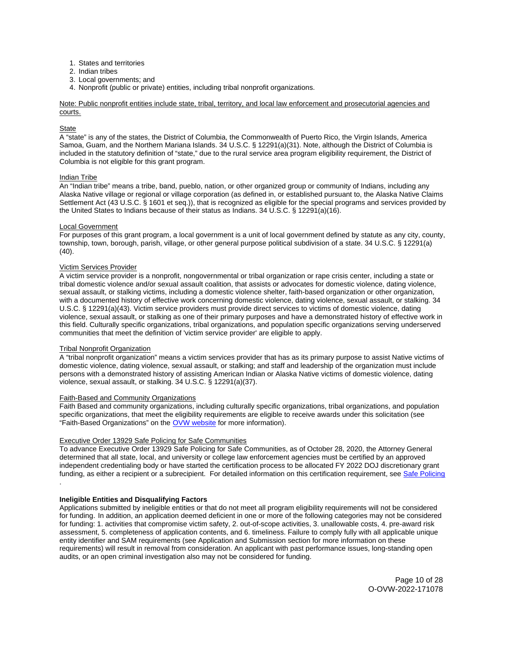- 1. States and territories
- 2. Indian tribes
- 3. Local governments; and
- 4. Nonprofit (public or private) entities, including tribal nonprofit organizations.

Note: Public nonprofit entities include state, tribal, territory, and local law enforcement and prosecutorial agencies and courts.

#### **State**

A "state" is any of the states, the District of Columbia, the Commonwealth of Puerto Rico, the Virgin Islands, America Samoa, Guam, and the Northern Mariana Islands. 34 U.S.C. § 12291(a)(31). Note, although the District of Columbia is included in the statutory definition of "state," due to the rural service area program eligibility requirement, the District of Columbia is not eligible for this grant program.

#### **Indian Tribe**

An "Indian tribe" means a tribe, band, pueblo, nation, or other organized group or community of Indians, including any Alaska Native village or regional or village corporation (as defined in, or established pursuant to, the Alaska Native Claims Settlement Act (43 U.S.C. § 1601 et seq.)), that is recognized as eligible for the special programs and services provided by the United States to Indians because of their status as Indians. 34 U.S.C. § 12291(a)(16).

#### Local Government

For purposes of this grant program, a local government is a unit of local government defined by statute as any city, county, township, town, borough, parish, village, or other general purpose political subdivision of a state. 34 U.S.C. § 12291(a) (40).

#### Victim Services Provider

A victim service provider is a nonprofit, nongovernmental or tribal organization or rape crisis center, including a state or tribal domestic violence and/or sexual assault coalition, that assists or advocates for domestic violence, dating violence, sexual assault, or stalking victims, including a domestic violence shelter, faith-based organization or other organization, with a documented history of effective work concerning domestic violence, dating violence, sexual assault, or stalking. 34 U.S.C. § 12291(a)(43). Victim service providers must provide direct services to victims of domestic violence, dating violence, sexual assault, or stalking as one of their primary purposes and have a demonstrated history of effective work in this field. Culturally specific organizations, tribal organizations, and population specific organizations serving underserved communities that meet the definition of 'victim service provider' are eligible to apply.

#### Tribal Nonprofit Organization

A "tribal nonprofit organization" means a victim services provider that has as its primary purpose to assist Native victims of domestic violence, dating violence, sexual assault, or stalking; and staff and leadership of the organization must include persons with a demonstrated history of assisting American Indian or Alaska Native victims of domestic violence, dating violence, sexual assault, or stalking. 34 U.S.C. § 12291(a)(37).

#### Faith-Based and Community Organizations

Faith Based and community organizations, including culturally specific organizations, tribal organizations, and population specific organizations, that meet the eligibility requirements are eligible to receive awards under this solicitation (see "Faith-Based Organizations" on the [OVW website](https://www.justice.gov/ovw/resources-applicants#Resources) for more information).

#### Executive Order 13929 Safe Policing for Safe Communities

To advance Executive Order 13929 Safe Policing for Safe Communities, as of October 28, 2020, the Attorney General determined that all state, local, and university or college law enforcement agencies must be certified by an approved independent credentialing body or have started the certification process to be allocated FY 2022 DOJ discretionary grant funding, as either a recipient or a subrecipient. For detailed information on this certification requirement, see [Safe Policing](https://cops.usdoj.gov/SafePolicingEO)  .

#### **Ineligible Entities and Disqualifying Factors**

Applications submitted by ineligible entities or that do not meet all program eligibility requirements will not be considered for funding. In addition, an application deemed deficient in one or more of the following categories may not be considered for funding: 1. activities that compromise victim safety, 2. out-of-scope activities, 3. unallowable costs, 4. pre-award risk assessment, 5. completeness of application contents, and 6. timeliness. Failure to comply fully with all applicable unique entity identifier and SAM requirements (see Application and Submission section for more information on these requirements) will result in removal from consideration. An applicant with past performance issues, long-standing open audits, or an open criminal investigation also may not be considered for funding.

> Page 10 of 28 O-OVW-2022-171078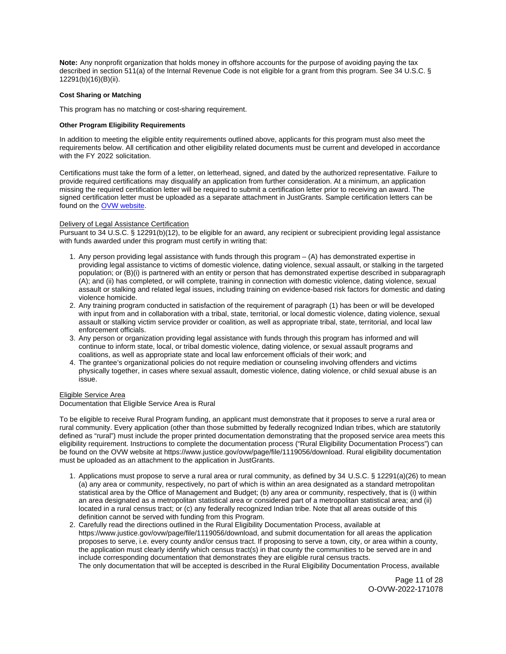<span id="page-10-0"></span>**Note:** Any nonprofit organization that holds money in offshore accounts for the purpose of avoiding paying the tax described in section 511(a) of the Internal Revenue Code is not eligible for a grant from this program. See 34 U.S.C. § 12291(b)(16)(B)(ii).

#### **Cost Sharing or Matching**

This program has no matching or cost-sharing requirement.

#### **Other Program Eligibility Requirements**

In addition to meeting the eligible entity requirements outlined above, applicants for this program must also meet the requirements below. All certification and other eligibility related documents must be current and developed in accordance with the FY 2022 solicitation.

Certifications must take the form of a letter, on letterhead, signed, and dated by the authorized representative. Failure to provide required certifications may disqualify an application from further consideration. At a minimum, an application missing the required certification letter will be required to submit a certification letter prior to receiving an award. The signed certification letter must be uploaded as a separate attachment in JustGrants. Sample certification letters can be found on the [OVW website.](https://www.justice.gov/ovw/resources-applicants)

#### Delivery of Legal Assistance Certification

Pursuant to 34 U.S.C. § 12291(b)(12), to be eligible for an award, any recipient or subrecipient providing legal assistance with funds awarded under this program must certify in writing that:

- 1. Any person providing legal assistance with funds through this program (A) has demonstrated expertise in providing legal assistance to victims of domestic violence, dating violence, sexual assault, or stalking in the targeted population; or (B)(i) is partnered with an entity or person that has demonstrated expertise described in subparagraph (A); and (ii) has completed, or will complete, training in connection with domestic violence, dating violence, sexual assault or stalking and related legal issues, including training on evidence-based risk factors for domestic and dating violence homicide.
- 2. Any training program conducted in satisfaction of the requirement of paragraph (1) has been or will be developed with input from and in collaboration with a tribal, state, territorial, or local domestic violence, dating violence, sexual assault or stalking victim service provider or coalition, as well as appropriate tribal, state, territorial, and local law enforcement officials.
- 3. Any person or organization providing legal assistance with funds through this program has informed and will continue to inform state, local, or tribal domestic violence, dating violence, or sexual assault programs and coalitions, as well as appropriate state and local law enforcement officials of their work; and
- 4. The grantee's organizational policies do not require mediation or counseling involving offenders and victims physically together, in cases where sexual assault, domestic violence, dating violence, or child sexual abuse is an issue.

#### Eligible Service Area

Documentation that Eligible Service Area is Rural

To be eligible to receive Rural Program funding, an applicant must demonstrate that it proposes to serve a rural area or rural community. Every application (other than those submitted by federally recognized Indian tribes, which are statutorily defined as "rural") must include the proper printed documentation demonstrating that the proposed service area meets this eligibility requirement. Instructions to complete the documentation process ("Rural Eligibility Documentation Process") can be found on the OVW website at [https://www.justice.gov/ovw/page/file/1119056/download.](https://www.justice.gov/ovw/page/file/1119056/download) Rural eligibility documentation must be uploaded as an attachment to the application in JustGrants.

- 1. Applications must propose to serve a rural area or rural community, as defined by 34 U.S.C. § 12291(a)(26) to mean (a) any area or community, respectively, no part of which is within an area designated as a standard metropolitan statistical area by the Office of Management and Budget; (b) any area or community, respectively, that is (i) within an area designated as a metropolitan statistical area or considered part of a metropolitan statistical area; and (ii) located in a rural census tract; or (c) any federally recognized Indian tribe. Note that all areas outside of this definition cannot be served with funding from this Program.
- 2. Carefully read the directions outlined in the Rural Eligibility Documentation Process, available at <https://www.justice.gov/ovw/page/file/1119056/download>, and submit documentation for all areas the application proposes to serve, i.e. every county and/or census tract. If proposing to serve a town, city, or area within a county, the application must clearly identify which census tract(s) in that county the communities to be served are in and include corresponding documentation that demonstrates they are eligible rural census tracts. The only documentation that will be accepted is described in the Rural Eligibility Documentation Process, available

Page 11 of 28 O-OVW-2022-171078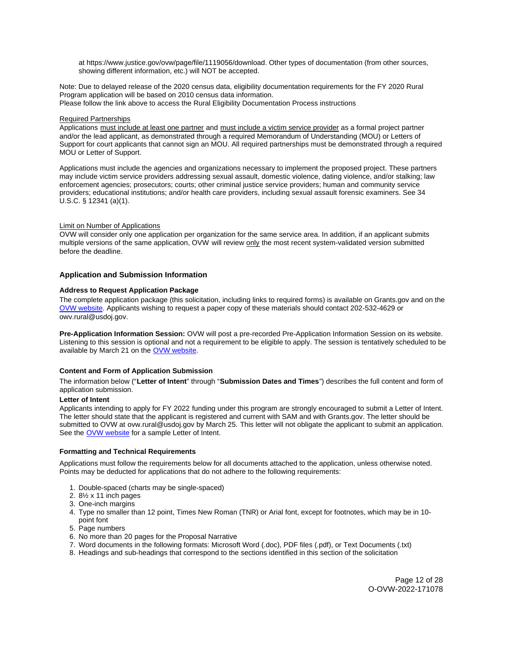<span id="page-11-0"></span>at [https://www.justice.gov/ovw/page/file/1119056/download.](https://www.justice.gov/ovw/page/file/1119056/download) Other types of documentation (from other sources, showing different information, etc.) will NOT be accepted.

Note: Due to delayed release of the 2020 census data, eligibility documentation requirements for the FY 2020 Rural Program application will be based on 2010 census data information. Please follow the link above to access the Rural Eligibility Documentation Process instructions

#### Required Partnerships

Applications must include at least one partner and must include a victim service provider as a formal project partner and/or the lead applicant, as demonstrated through a required Memorandum of Understanding (MOU) or Letters of Support for court applicants that cannot sign an MOU. All required partnerships must be demonstrated through a required MOU or Letter of Support.

Applications must include the agencies and organizations necessary to implement the proposed project. These partners may include victim service providers addressing sexual assault, domestic violence, dating violence, and/or stalking; law enforcement agencies; prosecutors; courts; other criminal justice service providers; human and community service providers; educational institutions; and/or health care providers, including sexual assault forensic examiners. See 34 U.S.C. § 12341 (a)(1).

# Limit on Number of Applications

OVW will consider only one application per organization for the same service area. In addition, if an applicant submits multiple versions of the same application, OVW will review only the most recent system-validated version submitted before the deadline.

# **Application and Submission Information**

# **Address to Request Application Package**

The complete application package (this solicitation, including links to required forms) is available on [Grants.gov](https://Grants.gov) and on the [OVW website.](https://www.justice.gov/ovw/how-apply) Applicants wishing to request a paper copy of these materials should contact 202-532-4629 or [owv.rural@usdoj.gov.](mailto:owv.rural@usdoj.gov)

**Pre-Application Information Session:** OVW will post a pre-recorded Pre-Application Information Session on its website. Listening to this session is optional and not a requirement to be eligible to apply. The session is tentatively scheduled to be available by March 21 on the [OVW website.](https://www.justice.gov/ovw/resources-applicants#Program Specific)

# **Content and Form of Application Submission**

The information below ("**Letter of Intent**" through "**Submission Dates and Times**") describes the full content and form of application submission.

#### **Letter of Intent**

Applicants intending to apply for FY 2022 funding under this program are strongly encouraged to submit a Letter of Intent. The letter should state that the applicant is registered and current with SAM and with [Grants.gov](https://Grants.gov). The letter should be submitted to OVW at [ovw.rural@usdoj.gov](mailto:ovw.rural@usdoj.gov) by March 25. This letter will not obligate the applicant to submit an application. See the [OVW website](https://www.justice.gov/ovw/resources-applicants) for a sample Letter of Intent.

#### **Formatting and Technical Requirements**

Applications must follow the requirements below for all documents attached to the application, unless otherwise noted. Points may be deducted for applications that do not adhere to the following requirements:

- 1. Double-spaced (charts may be single-spaced)
- 2. 8½ x 11 inch pages
- 3. One-inch margins
- 4. Type no smaller than 12 point, Times New Roman (TNR) or Arial font, except for footnotes, which may be in 10 point font
- 5. Page numbers
- 6. No more than 20 pages for the Proposal Narrative
- 7. Word documents in the following formats: Microsoft Word (.doc), PDF files (.pdf), or Text Documents (.txt)
- 8. Headings and sub-headings that correspond to the sections identified in this section of the solicitation

Page 12 of 28 O-OVW-2022-171078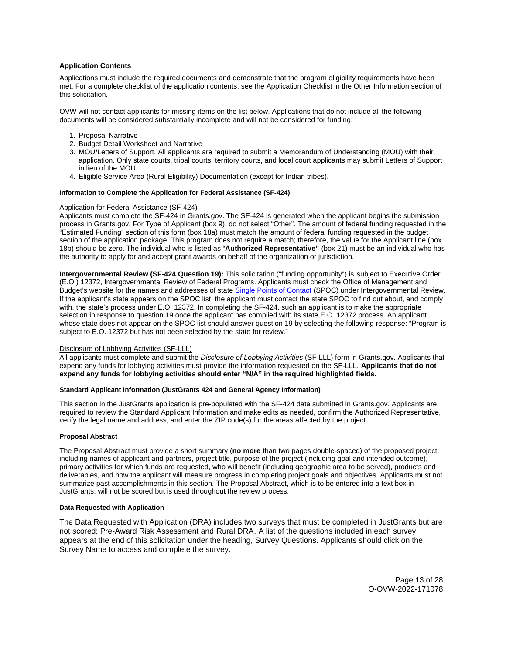# <span id="page-12-0"></span>**Application Contents**

Applications must include the required documents and demonstrate that the program eligibility requirements have been met. For a complete checklist of the application contents, see the Application Checklist in the Other Information section of this solicitation.

OVW will not contact applicants for missing items on the list below. Applications that do not include all the following documents will be considered substantially incomplete and will not be considered for funding:

- 1. Proposal Narrative
- 2. Budget Detail Worksheet and Narrative
- 3. MOU/Letters of Support. All applicants are required to submit a Memorandum of Understanding (MOU) with their application. Only state courts, tribal courts, territory courts, and local court applicants may submit Letters of Support in lieu of the MOU.
- 4. Eligible Service Area (Rural Eligibility) Documentation (except for Indian tribes).

#### **Information to Complete the Application for Federal Assistance (SF-424)**

# Application for Federal Assistance (SF-424)

Applicants must complete the SF-424 in [Grants.gov](https://Grants.gov). The SF-424 is generated when the applicant begins the submission process in [Grants.gov.](https://Grants.gov) For Type of Applicant (box 9), do not select "Other". The amount of federal funding requested in the "Estimated Funding" section of this form (box 18a) must match the amount of federal funding requested in the budget section of the application package. This program does not require a match; therefore, the value for the Applicant line (box 18b) should be zero. The individual who is listed as "**Authorized Representative"** (box 21) must be an individual who has the authority to apply for and accept grant awards on behalf of the organization or jurisdiction.

**Intergovernmental Review (SF-424 Question 19):** This solicitation ("funding opportunity") is subject to Executive Order (E.O.) 12372, Intergovernmental Review of Federal Programs. Applicants must check the Office of Management and Budget's website for the names and addresses of state [Single Points of Contact](https://www.whitehouse.gov/wp-content/uploads/2020/04/SPOC-4-13-20.pdf) (SPOC) under Intergovernmental Review. If the applicant's state appears on the SPOC list, the applicant must contact the state SPOC to find out about, and comply with, the state's process under E.O. 12372. In completing the SF-424, such an applicant is to make the appropriate selection in response to question 19 once the applicant has complied with its state E.O. 12372 process. An applicant whose state does not appear on the SPOC list should answer question 19 by selecting the following response: "Program is subject to E.O. 12372 but has not been selected by the state for review."

#### Disclosure of Lobbying Activities (SF-LLL)

All applicants must complete and submit the Disclosure of Lobbying Activities (SF-LLL) form in [Grants.gov.](https://Grants.gov) Applicants that expend any funds for lobbying activities must provide the information requested on the SF-LLL. **Applicants that do not expend any funds for lobbying activities should enter "N/A" in the required highlighted fields.** 

#### **Standard Applicant Information (JustGrants 424 and General Agency Information)**

This section in the JustGrants application is pre-populated with the SF-424 data submitted in [Grants.gov](https://Grants.gov). Applicants are required to review the Standard Applicant Information and make edits as needed, confirm the Authorized Representative, verify the legal name and address, and enter the ZIP code(s) for the areas affected by the project.

#### **Proposal Abstract**

The Proposal Abstract must provide a short summary (**no more** than two pages double-spaced) of the proposed project, including names of applicant and partners, project title, purpose of the project (including goal and intended outcome), primary activities for which funds are requested, who will benefit (including geographic area to be served), products and deliverables, and how the applicant will measure progress in completing project goals and objectives. Applicants must not summarize past accomplishments in this section. The Proposal Abstract, which is to be entered into a text box in JustGrants, will not be scored but is used throughout the review process.

#### **Data Requested with Application**

The Data Requested with Application (DRA) includes two surveys that must be completed in JustGrants but are not scored: Pre-Award Risk Assessment and Rural DRA. A list of the questions included in each survey appears at the end of this solicitation under the heading, Survey Questions. Applicants should click on the Survey Name to access and complete the survey.

> Page 13 of 28 O-OVW-2022-171078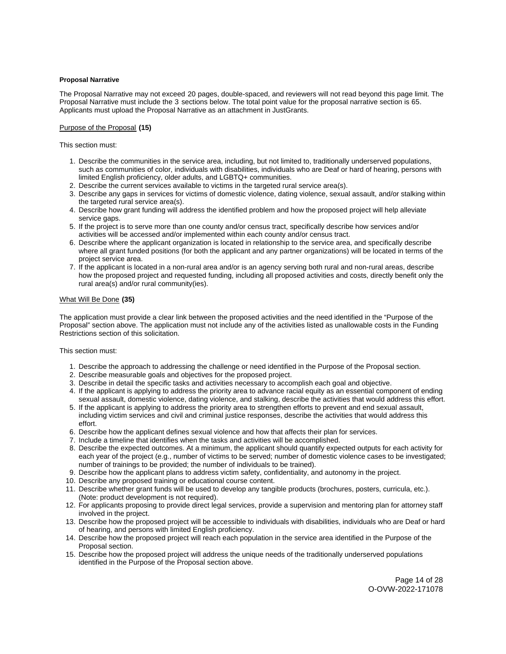#### <span id="page-13-0"></span>**Proposal Narrative**

The Proposal Narrative may not exceed 20 pages, double-spaced, and reviewers will not read beyond this page limit. The Proposal Narrative must include the 3 sections below. The total point value for the proposal narrative section is 65. Applicants must upload the Proposal Narrative as an attachment in JustGrants.

#### Purpose of the Proposal **(15)**

This section must:

- 1. Describe the communities in the service area, including, but not limited to, traditionally underserved populations, such as communities of color, individuals with disabilities, individuals who are Deaf or hard of hearing, persons with limited English proficiency, older adults, and LGBTQ+ communities.
- 2. Describe the current services available to victims in the targeted rural service area(s).
- 3. Describe any gaps in services for victims of domestic violence, dating violence, sexual assault, and/or stalking within the targeted rural service area(s).
- 4. Describe how grant funding will address the identified problem and how the proposed project will help alleviate service gaps.
- 5. If the project is to serve more than one county and/or census tract, specifically describe how services and/or activities will be accessed and/or implemented within each county and/or census tract.
- 6. Describe where the applicant organization is located in relationship to the service area, and specifically describe where all grant funded positions (for both the applicant and any partner organizations) will be located in terms of the project service area.
- 7. If the applicant is located in a non-rural area and/or is an agency serving both rural and non-rural areas, describe how the proposed project and requested funding, including all proposed activities and costs, directly benefit only the rural area(s) and/or rural community(ies).

#### What Will Be Done **(35)**

The application must provide a clear link between the proposed activities and the need identified in the "Purpose of the Proposal" section above. The application must not include any of the activities listed as unallowable costs in the Funding Restrictions section of this solicitation.

This section must:

- 1. Describe the approach to addressing the challenge or need identified in the Purpose of the Proposal section.
- 2. Describe measurable goals and objectives for the proposed project.
- 3. Describe in detail the specific tasks and activities necessary to accomplish each goal and objective.
- 4. If the applicant is applying to address the priority area to advance racial equity as an essential component of ending sexual assault, domestic violence, dating violence, and stalking, describe the activities that would address this effort.
- 5. If the applicant is applying to address the priority area to strengthen efforts to prevent and end sexual assault, including victim services and civil and criminal justice responses, describe the activities that would address this effort.
- 6. Describe how the applicant defines sexual violence and how that affects their plan for services.
- 7. Include a timeline that identifies when the tasks and activities will be accomplished.
- 8. Describe the expected outcomes. At a minimum, the applicant should quantify expected outputs for each activity for each year of the project (e.g., number of victims to be served; number of domestic violence cases to be investigated; number of trainings to be provided; the number of individuals to be trained).
- 9. Describe how the applicant plans to address victim safety, confidentiality, and autonomy in the project.
- 10. Describe any proposed training or educational course content.
- 11. Describe whether grant funds will be used to develop any tangible products (brochures, posters, curricula, etc.). (Note: product development is not required).
- 12. For applicants proposing to provide direct legal services, provide a supervision and mentoring plan for attorney staff involved in the project.
- 13. Describe how the proposed project will be accessible to individuals with disabilities, individuals who are Deaf or hard of hearing, and persons with limited English proficiency.
- 14. Describe how the proposed project will reach each population in the service area identified in the Purpose of the Proposal section.
- 15. Describe how the proposed project will address the unique needs of the traditionally underserved populations identified in the Purpose of the Proposal section above.

Page 14 of 28 O-OVW-2022-171078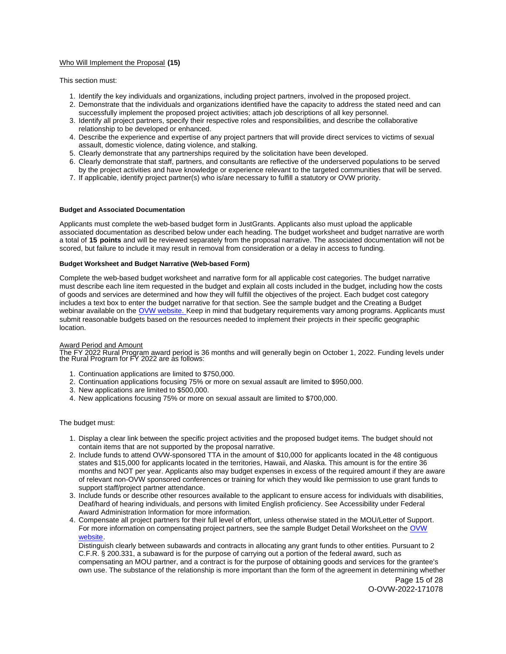# <span id="page-14-0"></span>Who Will Implement the Proposal **(15)**

This section must:

- 1. Identify the key individuals and organizations, including project partners, involved in the proposed project.
- 2. Demonstrate that the individuals and organizations identified have the capacity to address the stated need and can successfully implement the proposed project activities; attach job descriptions of all key personnel.
- 3. Identify all project partners, specify their respective roles and responsibilities, and describe the collaborative relationship to be developed or enhanced.
- 4. Describe the experience and expertise of any project partners that will provide direct services to victims of sexual assault, domestic violence, dating violence, and stalking.
- 5. Clearly demonstrate that any partnerships required by the solicitation have been developed.
- 6. Clearly demonstrate that staff, partners, and consultants are reflective of the underserved populations to be served by the project activities and have knowledge or experience relevant to the targeted communities that will be served.
- 7. If applicable, identify project partner(s) who is/are necessary to fulfill a statutory or OVW priority.

#### **Budget and Associated Documentation**

Applicants must complete the web-based budget form in JustGrants. Applicants also must upload the applicable associated documentation as described below under each heading. The budget worksheet and budget narrative are worth a total of **15 points** and will be reviewed separately from the proposal narrative. The associated documentation will not be scored, but failure to include it may result in removal from consideration or a delay in access to funding.

#### **Budget Worksheet and Budget Narrative (Web-based Form)**

Complete the web-based budget worksheet and narrative form for all applicable cost categories. The budget narrative must describe each line item requested in the budget and explain all costs included in the budget, including how the costs of goods and services are determined and how they will fulfill the objectives of the project. Each budget cost category includes a text box to enter the budget narrative for that section. See the sample budget and the Creating a Budget webinar available on the [OVW website.](https://www.justice.gov/ovw/resources-applicants) Keep in mind that budgetary requirements vary among programs. Applicants must submit reasonable budgets based on the resources needed to implement their projects in their specific geographic location.

#### Award Period and Amount

The FY 2022 Rural Program award period is 36 months and will generally begin on October 1, 2022. Funding levels under the Rural Program for FY 2022 are as follows:

- 1. Continuation applications are limited to \$750,000.
- 2. Continuation applications focusing 75% or more on sexual assault are limited to \$950,000.
- 3. New applications are limited to \$500,000.
- 4. New applications focusing 75% or more on sexual assault are limited to \$700,000.

The budget must:

- 1. Display a clear link between the specific project activities and the proposed budget items. The budget should not contain items that are not supported by the proposal narrative.
- 2. Include funds to attend OVW-sponsored TTA in the amount of \$10,000 for applicants located in the 48 contiguous states and \$15,000 for applicants located in the territories, Hawaii, and Alaska. This amount is for the entire 36 months and NOT per year. Applicants also may budget expenses in excess of the required amount if they are aware of relevant non-OVW sponsored conferences or training for which they would like permission to use grant funds to support staff/project partner attendance.
- 3. Include funds or describe other resources available to the applicant to ensure access for individuals with disabilities, Deaf/hard of hearing individuals, and persons with limited English proficiency. See Accessibility under Federal Award Administration Information for more information.
- 4. Compensate all project partners for their full level of effort, unless otherwise stated in the MOU/Letter of Support. For more information on compensating project partners, see the sample Budget Detail Worksheet on the [OVW](https://www.justice.gov/ovw/resources-applicants)  [website.](https://www.justice.gov/ovw/resources-applicants)

Distinguish clearly between subawards and contracts in allocating any grant funds to other entities. Pursuant to 2 C.F.R. § 200.331, a subaward is for the purpose of carrying out a portion of the federal award, such as compensating an MOU partner, and a contract is for the purpose of obtaining goods and services for the grantee's own use. The substance of the relationship is more important than the form of the agreement in determining whether

Page 15 of 28 O-OVW-2022-171078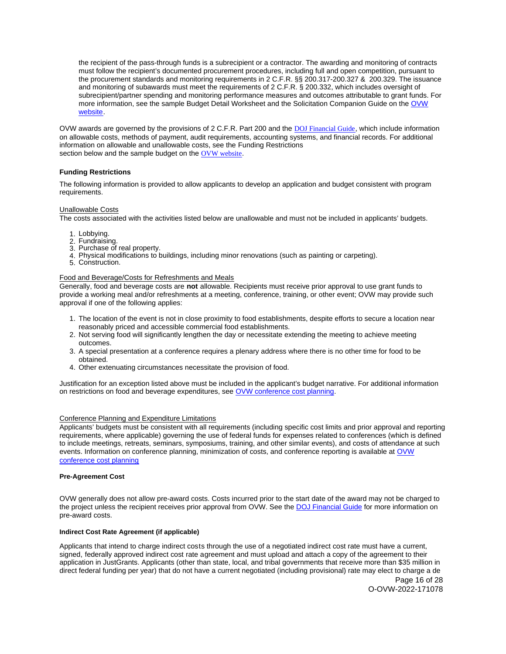<span id="page-15-0"></span>the recipient of the pass-through funds is a subrecipient or a contractor. The awarding and monitoring of contracts must follow the recipient's documented procurement procedures, including full and open competition, pursuant to the procurement standards and monitoring requirements in 2 C.F.R. §§ 200.317-200.327 & 200.329. The issuance and monitoring of subawards must meet the requirements of 2 C.F.R. § 200.332, which includes oversight of subrecipient/partner spending and monitoring performance measures and outcomes attributable to grant funds. For more information, see the sample Budget Detail Worksheet and the Solicitation Companion Guide on the OVW [website.](https://www.justice.gov/ovw/resources-applicants)

OVW awards are governed by the provisions of 2 C.F.R. Part 200 and the [DOJ Financial Guide](https://www.justice.gov/ovw/file/1030311/download), which include information on allowable costs, methods of payment, audit requirements, accounting systems, and financial records. For additional information on allowable and unallowable costs, see the Funding Restrictions section below and the sample budget on the [OVW website](https://www.justice.gov/ovw/resources-applicants).

# **Funding Restrictions**

The following information is provided to allow applicants to develop an application and budget consistent with program requirements.

#### Unallowable Costs

The costs associated with the activities listed below are unallowable and must not be included in applicants' budgets.

- 1. Lobbying.
- 2. Fundraising.
- 3. Purchase of real property.
- 4. Physical modifications to buildings, including minor renovations (such as painting or carpeting).
- 5. Construction.

#### Food and Beverage/Costs for Refreshments and Meals

Generally, food and beverage costs are **not** allowable. Recipients must receive prior approval to use grant funds to provide a working meal and/or refreshments at a meeting, conference, training, or other event; OVW may provide such approval if one of the following applies:

- 1. The location of the event is not in close proximity to food establishments, despite efforts to secure a location near reasonably priced and accessible commercial food establishments.
- 2. Not serving food will significantly lengthen the day or necessitate extending the meeting to achieve meeting outcomes.
- 3. A special presentation at a conference requires a plenary address where there is no other time for food to be obtained.
- 4. Other extenuating circumstances necessitate the provision of food.

Justification for an exception listed above must be included in the applicant's budget narrative. For additional information on restrictions on food and beverage expenditures, see [OVW conference cost planning.](https://www.justice.gov/ovw/conference-planning)

#### Conference Planning and Expenditure Limitations

Applicants' budgets must be consistent with all requirements (including specific cost limits and prior approval and reporting requirements, where applicable) governing the use of federal funds for expenses related to conferences (which is defined to include meetings, retreats, seminars, symposiums, training, and other similar events), and costs of attendance at such events. Information on conference planning, minimization of costs, and conference reporting is available at [OVW](https://www.justice.gov/ovw/conference-planning)  [conference cost planning](https://www.justice.gov/ovw/conference-planning) 

#### **Pre-Agreement Cost**

OVW generally does not allow pre-award costs. Costs incurred prior to the start date of the award may not be charged to the project unless the recipient receives prior approval from OVW. See the [DOJ Financial Guide](https://www.justice.gov/ovw/file/1030311/download) for more information on pre-award costs.

#### **Indirect Cost Rate Agreement (if applicable)**

Applicants that intend to charge indirect costs through the use of a negotiated indirect cost rate must have a current, signed, federally approved indirect cost rate agreement and must upload and attach a copy of the agreement to their application in JustGrants. Applicants (other than state, local, and tribal governments that receive more than \$35 million in direct federal funding per year) that do not have a current negotiated (including provisional) rate may elect to charge a de

Page 16 of 28 O-OVW-2022-171078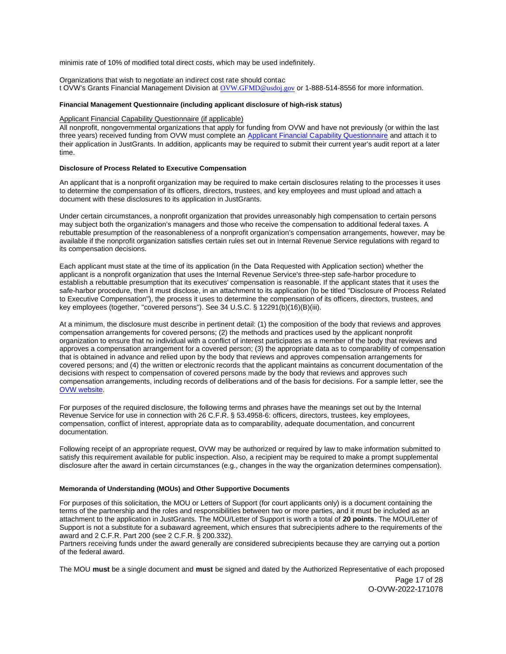<span id="page-16-0"></span>minimis rate of 10% of modified total direct costs, which may be used indefinitely.

Organizations that wish to negotiate an indirect cost rate should contac t OVW's Grants Financial Management Division at [OVW.GFMD@usdoj.gov](mailto:OVW.GFMD@usdoj.gov) or 1-888-514-8556 for more information.

#### **Financial Management Questionnaire (including applicant disclosure of high-risk status)**

#### Applicant Financial Capability Questionnaire (if applicable)

All nonprofit, nongovernmental organizations that apply for funding from OVW and have not previously (or within the last three years) received funding from OVW must complete an [Applicant Financial Capability Questionnaire](https://www.justice.gov/ovw/file/866126/download) and attach it to their application in JustGrants. In addition, applicants may be required to submit their current year's audit report at a later time.

#### **Disclosure of Process Related to Executive Compensation**

An applicant that is a nonprofit organization may be required to make certain disclosures relating to the processes it uses to determine the compensation of its officers, directors, trustees, and key employees and must upload and attach a document with these disclosures to its application in JustGrants.

Under certain circumstances, a nonprofit organization that provides unreasonably high compensation to certain persons may subject both the organization's managers and those who receive the compensation to additional federal taxes. A rebuttable presumption of the reasonableness of a nonprofit organization's compensation arrangements, however, may be available if the nonprofit organization satisfies certain rules set out in Internal Revenue Service regulations with regard to its compensation decisions.

Each applicant must state at the time of its application (in the Data Requested with Application section) whether the applicant is a nonprofit organization that uses the Internal Revenue Service's three-step safe-harbor procedure to establish a rebuttable presumption that its executives' compensation is reasonable. If the applicant states that it uses the safe-harbor procedure, then it must disclose, in an attachment to its application (to be titled "Disclosure of Process Related to Executive Compensation"), the process it uses to determine the compensation of its officers, directors, trustees, and key employees (together, "covered persons"). See 34 U.S.C. § 12291(b)(16)(B)(iii).

At a minimum, the disclosure must describe in pertinent detail: (1) the composition of the body that reviews and approves compensation arrangements for covered persons; (2) the methods and practices used by the applicant nonprofit organization to ensure that no individual with a conflict of interest participates as a member of the body that reviews and approves a compensation arrangement for a covered person; (3) the appropriate data as to comparability of compensation that is obtained in advance and relied upon by the body that reviews and approves compensation arrangements for covered persons; and (4) the written or electronic records that the applicant maintains as concurrent documentation of the decisions with respect to compensation of covered persons made by the body that reviews and approves such compensation arrangements, including records of deliberations and of the basis for decisions. For a sample letter, see the [OVW website.](https://www.justice.gov/ovw/resources-applicants)

For purposes of the required disclosure, the following terms and phrases have the meanings set out by the Internal Revenue Service for use in connection with 26 C.F.R. § 53.4958-6: officers, directors, trustees, key employees, compensation, conflict of interest, appropriate data as to comparability, adequate documentation, and concurrent documentation.

Following receipt of an appropriate request, OVW may be authorized or required by law to make information submitted to satisfy this requirement available for public inspection. Also, a recipient may be required to make a prompt supplemental disclosure after the award in certain circumstances (e.g., changes in the way the organization determines compensation).

#### **Memoranda of Understanding (MOUs) and Other Supportive Documents**

For purposes of this solicitation, the MOU or Letters of Support (for court applicants only) is a document containing the terms of the partnership and the roles and responsibilities between two or more parties, and it must be included as an attachment to the application in JustGrants. The MOU/Letter of Support is worth a total of **20 points**. The MOU/Letter of Support is not a substitute for a subaward agreement, which ensures that subrecipients adhere to the requirements of the award and 2 C.F.R. Part 200 (see 2 C.F.R. § 200.332).

Partners receiving funds under the award generally are considered subrecipients because they are carrying out a portion of the federal award.

The MOU **must** be a single document and **must** be signed and dated by the Authorized Representative of each proposed

Page 17 of 28 O-OVW-2022-171078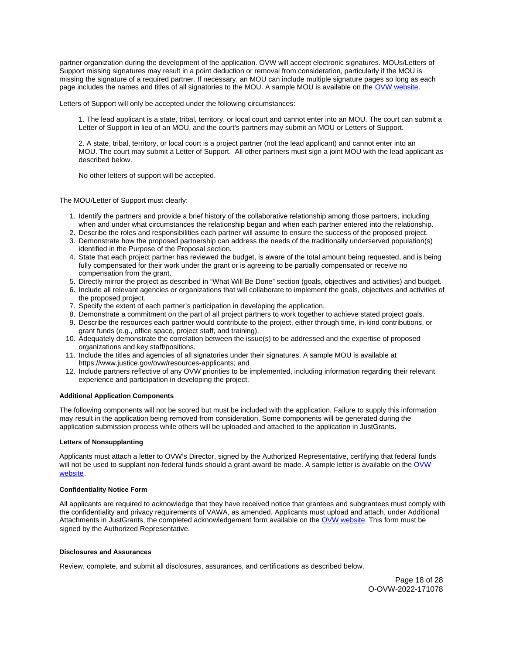<span id="page-17-0"></span>page includes the names and titles of all signatories to the MOU. A sample MOU is available on the [OVW website.](https://www.justice.gov/ovw/resources-applicants) partner organization during the development of the application. OVW will accept electronic signatures. MOUs/Letters of Support missing signatures may result in a point deduction or removal from consideration, particularly if the MOU is missing the signature of a required partner. If necessary, an MOU can include multiple signature pages so long as each

Letters of Support will only be accepted under the following circumstances:

1. The lead applicant is a state, tribal, territory, or local court and cannot enter into an MOU. The court can submit a Letter of Support in lieu of an MOU, and the court's partners may submit an MOU or Letters of Support.

2. A state, tribal, territory, or local court is a project partner (not the lead applicant) and cannot enter into an MOU. The court may submit a Letter of Support. All other partners must sign a joint MOU with the lead applicant as described below.

No other letters of support will be accepted.

The MOU/Letter of Support must clearly:

- 1. Identify the partners and provide a brief history of the collaborative relationship among those partners, including when and under what circumstances the relationship began and when each partner entered into the relationship.
- 2. Describe the roles and responsibilities each partner will assume to ensure the success of the proposed project.
- 3. Demonstrate how the proposed partnership can address the needs of the traditionally underserved population(s) identified in the Purpose of the Proposal section.
- 4. State that each project partner has reviewed the budget, is aware of the total amount being requested, and is being fully compensated for their work under the grant or is agreeing to be partially compensated or receive no compensation from the grant.
- 5. Directly mirror the project as described in "What Will Be Done" section (goals, objectives and activities) and budget.
- 6. Include all relevant agencies or organizations that will collaborate to implement the goals, objectives and activities of the proposed project.
- 7. Specify the extent of each partner's participation in developing the application.
- 8. Demonstrate a commitment on the part of all project partners to work together to achieve stated project goals.
- 9. Describe the resources each partner would contribute to the project, either through time, in-kind contributions, or grant funds (e.g., office space, project staff, and training).
- 10. Adequately demonstrate the correlation between the issue(s) to be addressed and the expertise of proposed organizations and key staff/positions.
- 11. Include the titles and agencies of all signatories under their signatures. A sample MOU is available at [https://www.justice.gov/ovw/resources-applicants;](https://www.justice.gov/ovw/resources-applicants) and
- 12. Include partners reflective of any OVW priorities to be implemented, including information regarding their relevant experience and participation in developing the project.

#### **Additional Application Components**

The following components will not be scored but must be included with the application. Failure to supply this information may result in the application being removed from consideration. Some components will be generated during the application submission process while others will be uploaded and attached to the application in JustGrants.

#### **Letters of Nonsupplanting**

Applicants must attach a letter to OVW's Director, signed by the Authorized Representative, certifying that federal funds will not be used to supplant non-federal funds should a grant award be made. A sample letter is available on the OVW [website.](https://www.justice.gov/ovw/resources-applicants)

#### **Confidentiality Notice Form**

All applicants are required to acknowledge that they have received notice that grantees and subgrantees must comply with the confidentiality and privacy requirements of VAWA, as amended. Applicants must upload and attach, under Additional Attachments in JustGrants, the completed acknowledgement form available on the [OVW website.](http://www.justice.gov/sites/default/files/ovw/pages/attachments/2015/01/20/confidentiality_acknowledgement_form_42015.pdf) This form must be signed by the Authorized Representative.

#### **Disclosures and Assurances**

Review, complete, and submit all disclosures, assurances, and certifications as described below.

Page 18 of 28 O-OVW-2022-171078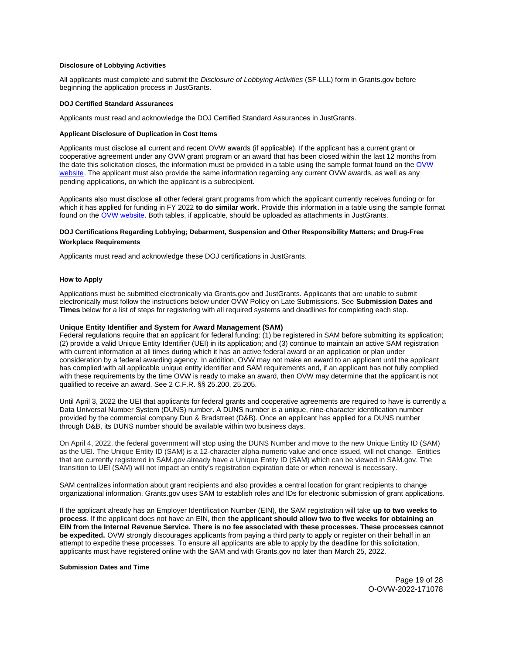#### <span id="page-18-0"></span>**Disclosure of Lobbying Activities**

All applicants must complete and submit the Disclosure of Lobbying Activities (SF-LLL) form in [Grants.gov](https://Grants.gov) before beginning the application process in JustGrants.

#### **DOJ Certified Standard Assurances**

Applicants must read and acknowledge the DOJ Certified Standard Assurances in JustGrants.

#### **Applicant Disclosure of Duplication in Cost Items**

Applicants must disclose all current and recent OVW awards (if applicable). If the applicant has a current grant or cooperative agreement under any OVW grant program or an award that has been closed within the last 12 months from the date this solicitation closes, the information must be provided in a table using the sample format found on the [OVW](https://www.justice.gov/ovw/resources-applicants)  [website.](https://www.justice.gov/ovw/resources-applicants) The applicant must also provide the same information regarding any current OVW awards, as well as any pending applications, on which the applicant is a subrecipient.

Applicants also must disclose all other federal grant programs from which the applicant currently receives funding or for which it has applied for funding in FY 2022 **to do similar work**. Provide this information in a table using the sample format found on the [OVW website.](https://www.justice.gov/ovw/resources-applicants) Both tables, if applicable, should be uploaded as attachments in JustGrants.

# **DOJ Certifications Regarding Lobbying; Debarment, Suspension and Other Responsibility Matters; and Drug-Free Workplace Requirements**

Applicants must read and acknowledge these DOJ certifications in JustGrants.

#### **How to Apply**

Applications must be submitted electronically via [Grants.gov](https://Grants.gov) and JustGrants. Applicants that are unable to submit electronically must follow the instructions below under OVW Policy on Late Submissions. See **Submission Dates and Times** below for a list of steps for registering with all required systems and deadlines for completing each step.

#### **Unique Entity Identifier and System for Award Management (SAM)**

Federal regulations require that an applicant for federal funding: (1) be registered in SAM before submitting its application; (2) provide a valid Unique Entity Identifier (UEI) in its application; and (3) continue to maintain an active SAM registration with current information at all times during which it has an active federal award or an application or plan under consideration by a federal awarding agency. In addition, OVW may not make an award to an applicant until the applicant has complied with all applicable unique entity identifier and SAM requirements and, if an applicant has not fully complied with these requirements by the time OVW is ready to make an award, then OVW may determine that the applicant is not qualified to receive an award. See 2 C.F.R. §§ 25.200, 25.205.

Until April 3, 2022 the UEI that applicants for federal grants and cooperative agreements are required to have is currently a Data Universal Number System (DUNS) number. A DUNS number is a unique, nine-character identification number provided by the commercial company Dun & Bradstreet (D&B). Once an applicant has applied for a DUNS number through D&B, its DUNS number should be available within two business days.

On April 4, 2022, the federal government will stop using the DUNS Number and move to the new Unique Entity ID (SAM) as the UEI. The Unique Entity ID (SAM) is a 12-character alpha-numeric value and once issued, will not change. Entities that are currently registered in SAM.gov already have a Unique Entity ID (SAM) which can be viewed in SAM.gov. The transition to UEI (SAM) will not impact an entity's registration expiration date or when renewal is necessary.

SAM centralizes information about grant recipients and also provides a central location for grant recipients to change organizational information. [Grants.gov](https://Grants.gov) uses SAM to establish roles and IDs for electronic submission of grant applications.

If the applicant already has an Employer Identification Number (EIN), the SAM registration will take **up to two weeks to process**. If the applicant does not have an EIN, then **the applicant should allow two to five weeks for obtaining an EIN from the Internal Revenue Service. There is no fee associated with these processes. These processes cannot be expedited.** OVW strongly discourages applicants from paying a third party to apply or register on their behalf in an attempt to expedite these processes. To ensure all applicants are able to apply by the deadline for this solicitation, applicants must have registered online with the SAM and with [Grants.gov](https://Grants.gov) no later than March 25, 2022.

#### **Submission Dates and Time**

Page 19 of 28 O-OVW-2022-171078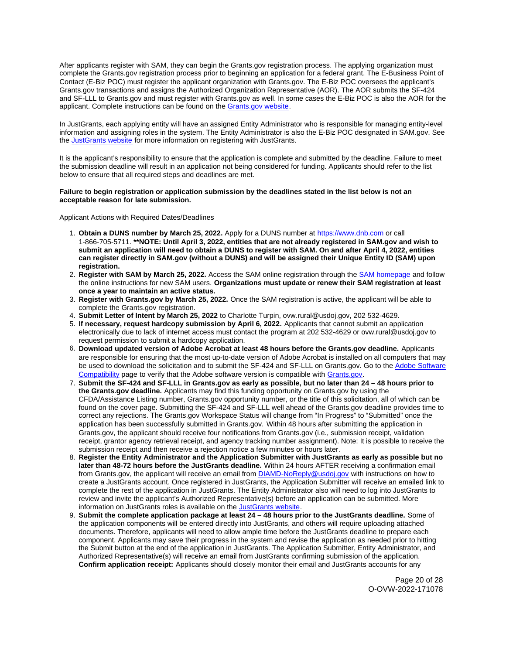After applicants register with SAM, they can begin the [Grants.gov](https://Grants.gov) registration process. The applying organization must complete the [Grants.gov](https://Grants.gov) registration process prior to beginning an application for a federal grant. The E-Business Point of Contact (E-Biz POC) must register the applicant organization with [Grants.gov](https://Grants.gov). The E-Biz POC oversees the applicant's [Grants.gov](https://Grants.gov) transactions and assigns the Authorized Organization Representative (AOR). The AOR submits the SF-424 and SF-LLL to [Grants.gov](https://Grants.gov) and must register with [Grants.gov](https://Grants.gov) as well. In some cases the E-Biz POC is also the AOR for the applicant. Complete instructions can be found on the [Grants.gov website.](https://www.grants.gov/web/grants/applicants/registration.html)

In JustGrants, each applying entity will have an assigned Entity Administrator who is responsible for managing entity-level information and assigning roles in the system. The Entity Administrator is also the E-Biz POC designated in SAM.gov. See the [JustGrants website](https://justicegrants.usdoj.gov/) for more information on registering with JustGrants.

It is the applicant's responsibility to ensure that the application is complete and submitted by the deadline. Failure to meet the submission deadline will result in an application not being considered for funding. Applicants should refer to the list below to ensure that all required steps and deadlines are met.

#### **Failure to begin registration or application submission by the deadlines stated in the list below is not an acceptable reason for late submission.**

Applicant Actions with Required Dates/Deadlines

- 1. **Obtain a DUNS number by March 25, 2022.** Apply for a DUNS number at <https://www.dnb.com>or call 1-866-705-5711. **\*\*NOTE: Until April 3, 2022, entities that are not already registered in SAM.gov and wish to submit an application will need to obtain a DUNS to register with SAM. On and after April 4, 2022, entities can register directly in SAM.gov (without a DUNS) and will be assigned their Unique Entity ID (SAM) upon registration.**
- 2. **Register with SAM by March 25, 2022.** Access the SAM online registration through the [SAM homepage](https://sam.gov/SAM/) and follow the online instructions for new SAM users. **Organizations must update or renew their SAM registration at least once a year to maintain an active status.**
- 3. **Register with [Grants.gov](https://Grants.gov) by March 25, 2022.** Once the SAM registration is active, the applicant will be able to complete the [Grants.gov](https://Grants.gov) registration.
- 4. **Submit Letter of Intent by March 25, 2022** to Charlotte Turpin, [ovw.rural@usdoj.gov](mailto:ovw.rural@usdoj.gov), 202 532-4629.
- 5. **If necessary, request hardcopy submission by April 6, 2022.** Applicants that cannot submit an application electronically due to lack of internet access must contact the program at 202 532-4629 or [ovw.rural@usdoj.gov](mailto:ovw.rural@usdoj.gov) to request permission to submit a hardcopy application.
- 6. **Download updated version of Adobe Acrobat at least 48 hours before the [Grants.gov](https://Grants.gov) deadline.** Applicants are responsible for ensuring that the most up-to-date version of Adobe Acrobat is installed on all computers that may be used to download the solicitation and to submit the SF-424 and SF-LLL on [Grants.gov](https://Grants.gov). Go to the [Adobe Software](https://www.grants.gov/web/grants/applicants/adobe-software-compatibility.html)  [Compatibility](https://www.grants.gov/web/grants/applicants/adobe-software-compatibility.html) page to verify that the Adobe software version is compatible with [Grants.gov.](http://www.grants.gov)
- 7. **Submit the SF-424 and SF-LLL in [Grants.gov](https://Grants.gov) as early as possible, but no later than 24 48 hours prior to the [Grants.gov](https://Grants.gov) deadline.** Applicants may find this funding opportunity on [Grants.gov](https://Grants.gov) by using the CFDA/Assistance Listing number, [Grants.gov](https://Grants.gov) opportunity number, or the title of this solicitation, all of which can be found on the cover page. Submitting the SF-424 and SF-LLL well ahead of the [Grants.gov](https://Grants.gov) deadline provides time to correct any rejections. The [Grants.gov](https://Grants.gov) Workspace Status will change from "In Progress" to "Submitted" once the application has been successfully submitted in [Grants.gov.](https://Grants.gov) Within 48 hours after submitting the application in [Grants.gov,](https://Grants.gov) the applicant should receive four notifications from [Grants.gov](https://Grants.gov) (i.e., submission receipt, validation receipt, grantor agency retrieval receipt, and agency tracking number assignment). Note: It is possible to receive the submission receipt and then receive a rejection notice a few minutes or hours later.
- 8. **Register the Entity Administrator and the Application Submitter with JustGrants as early as possible but no later than 48-72 hours before the JustGrants deadline.** Within 24 hours AFTER receiving a confirmation email from [Grants.gov](https://Grants.gov), the applicant will receive an email from **DIAMD-NoReply@usdoj.gov** with instructions on how to create a JustGrants account. Once registered in JustGrants, the Application Submitter will receive an emailed link to complete the rest of the application in JustGrants. The Entity Administrator also will need to log into JustGrants to review and invite the applicant's Authorized Representative(s) before an application can be submitted. More information on JustGrants roles is available on the [JustGrants website.](https://justicegrants.usdoj.gov/getting-started#secureOnboarding)
- 9. **Submit the complete application package at least 24 48 hours prior to the JustGrants deadline.** Some of the application components will be entered directly into JustGrants, and others will require uploading attached documents. Therefore, applicants will need to allow ample time before the JustGrants deadline to prepare each component. Applicants may save their progress in the system and revise the application as needed prior to hitting the Submit button at the end of the application in JustGrants. The Application Submitter, Entity Administrator, and Authorized Representative(s) will receive an email from JustGrants confirming submission of the application. **Confirm application receipt:** Applicants should closely monitor their email and JustGrants accounts for any

Page 20 of 28 O-OVW-2022-171078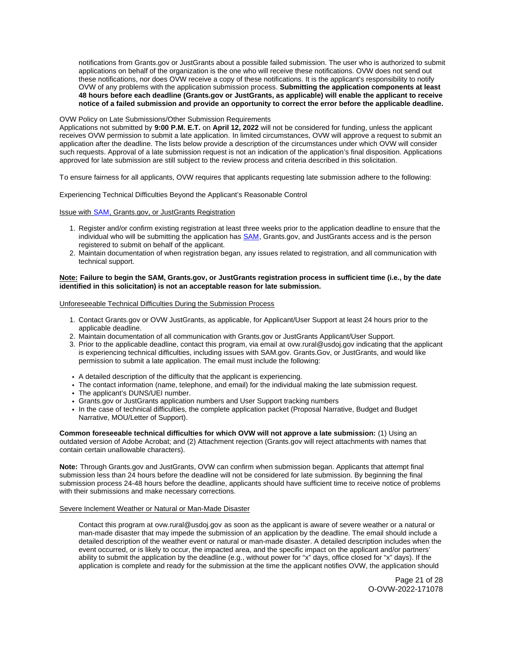notifications from [Grants.gov](https://Grants.gov) or JustGrants about a possible failed submission. The user who is authorized to submit applications on behalf of the organization is the one who will receive these notifications. OVW does not send out these notifications, nor does OVW receive a copy of these notifications. It is the applicant's responsibility to notify OVW of any problems with the application submission process. **Submitting the application components at least 48 hours before each deadline ([Grants.gov](https://Grants.gov) or JustGrants, as applicable) will enable the applicant to receive notice of a failed submission and provide an opportunity to correct the error before the applicable deadline.** 

#### OVW Policy on Late Submissions/Other Submission Requirements

Applications not submitted by **9:00 P.M. E.T.** on **April 12, 2022** will not be considered for funding, unless the applicant receives OVW permission to submit a late application. In limited circumstances, OVW will approve a request to submit an application after the deadline. The lists below provide a description of the circumstances under which OVW will consider such requests. Approval of a late submission request is not an indication of the application's final disposition. Applications approved for late submission are still subject to the review process and criteria described in this solicitation.

To ensure fairness for all applicants, OVW requires that applicants requesting late submission adhere to the following:

Experiencing Technical Difficulties Beyond the Applicant's Reasonable Control

Issue with SAM, [Grants.gov,](https://Grants.gov) or JustGrants Registration

- 1. Register and/or confirm existing registration at least three weeks prior to the application deadline to ensure that the individual who will be submitting the application has **SAM**, [Grants.gov,](https://Grants.gov) and JustGrants access and is the person registered to submit on behalf of the applicant.
- 2. Maintain documentation of when registration began, any issues related to registration, and all communication with technical support.

#### **Note: Failure to begin the SAM, [Grants.gov,](https://Grants.gov) or JustGrants registration process in sufficient time (i.e., by the date identified in this solicitation) is not an acceptable reason for late submission.**

Unforeseeable Technical Difficulties During the Submission Process

- 1. Contact [Grants.gov](https://Grants.gov) or OVW JustGrants, as applicable, for Applicant/User Support at least 24 hours prior to the applicable deadline.
- 2. Maintain documentation of all communication with [Grants.gov](https://Grants.gov) or JustGrants Applicant/User Support.
- 3. Prior to the applicable deadline, contact this program, via email at [ovw.rural@usdoj.gov](mailto:ovw.rural@usdoj.gov) indicating that the applicant is experiencing technical difficulties, including issues with SAM.gov. [Grants.Gov](https://Grants.Gov), or JustGrants, and would like permission to submit a late application. The email must include the following:
- A detailed description of the difficulty that the applicant is experiencing.
- The contact information (name, telephone, and email) for the individual making the late submission request.
- The applicant's DUNS/UEI number.
- [Grants.gov](https://Grants.gov) or JustGrants application numbers and User Support tracking numbers
- In the case of technical difficulties, the complete application packet (Proposal Narrative, Budget and Budget Narrative, MOU/Letter of Support).

**Common foreseeable technical difficulties for which OVW will not approve a late submission:** (1) Using an outdated version of Adobe Acrobat; and (2) Attachment rejection [\(Grants.gov](https://Grants.gov) will reject attachments with names that contain certain unallowable characters).

**Note:** Through [Grants.gov](https://Grants.gov) and JustGrants, OVW can confirm when submission began. Applicants that attempt final submission less than 24 hours before the deadline will not be considered for late submission. By beginning the final submission process 24-48 hours before the deadline, applicants should have sufficient time to receive notice of problems with their submissions and make necessary corrections.

#### Severe Inclement Weather or Natural or Man-Made Disaster

Contact this program at [ovw.rural@usdoj.gov](mailto:ovw.rural@usdoj.gov) as soon as the applicant is aware of severe weather or a natural or man-made disaster that may impede the submission of an application by the deadline. The email should include a detailed description of the weather event or natural or man-made disaster. A detailed description includes when the event occurred, or is likely to occur, the impacted area, and the specific impact on the applicant and/or partners' ability to submit the application by the deadline (e.g., without power for "x" days, office closed for "x" days). If the application is complete and ready for the submission at the time the applicant notifies OVW, the application should

> Page 21 of 28 O-OVW-2022-171078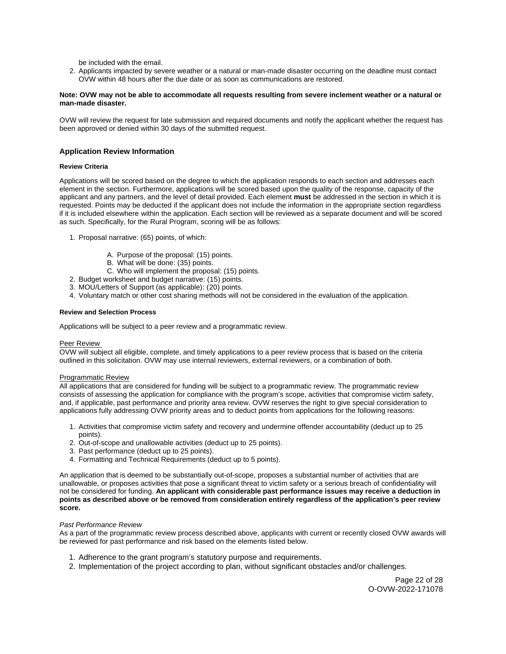be included with the email.

<span id="page-21-0"></span>2. Applicants impacted by severe weather or a natural or man-made disaster occurring on the deadline must contact OVW within 48 hours after the due date or as soon as communications are restored.

#### **Note: OVW may not be able to accommodate all requests resulting from severe inclement weather or a natural or man-made disaster.**

OVW will review the request for late submission and required documents and notify the applicant whether the request has been approved or denied within 30 days of the submitted request.

# **Application Review Information**

#### **Review Criteria**

Applications will be scored based on the degree to which the application responds to each section and addresses each element in the section. Furthermore, applications will be scored based upon the quality of the response, capacity of the applicant and any partners, and the level of detail provided. Each element **must** be addressed in the section in which it is requested. Points may be deducted if the applicant does not include the information in the appropriate section regardless if it is included elsewhere within the application. Each section will be reviewed as a separate document and will be scored as such. Specifically, for the Rural Program, scoring will be as follows:

- 1. Proposal narrative: (65) points, of which:
	- A. Purpose of the proposal: (15) points.
	- B. What will be done: (35) points.
	- C. Who will implement the proposal: (15) points.
- 2. Budget worksheet and budget narrative: (15) points.
- 3. MOU/Letters of Support (as applicable): (20) points.
- 4. Voluntary match or other cost sharing methods will not be considered in the evaluation of the application.

#### **Review and Selection Process**

Applications will be subject to a peer review and a programmatic review.

#### Peer Review

OVW will subject all eligible, complete, and timely applications to a peer review process that is based on the criteria outlined in this solicitation. OVW may use internal reviewers, external reviewers, or a combination of both.

#### Programmatic Review

All applications that are considered for funding will be subject to a programmatic review. The programmatic review consists of assessing the application for compliance with the program's scope, activities that compromise victim safety, and, if applicable, past performance and priority area review. OVW reserves the right to give special consideration to applications fully addressing OVW priority areas and to deduct points from applications for the following reasons:

- 1. Activities that compromise victim safety and recovery and undermine offender accountability (deduct up to 25 points).
- 2. Out-of-scope and unallowable activities (deduct up to 25 points).
- 3. Past performance (deduct up to 25 points).
- 4. Formatting and Technical Requirements (deduct up to 5 points).

An application that is deemed to be substantially out-of-scope, proposes a substantial number of activities that are unallowable, or proposes activities that pose a significant threat to victim safety or a serious breach of confidentiality will not be considered for funding. **An applicant with considerable past performance issues may receive a deduction in points as described above or be removed from consideration entirely regardless of the application's peer review score.** 

#### Past Performance Review

As a part of the programmatic review process described above, applicants with current or recently closed OVW awards will be reviewed for past performance and risk based on the elements listed below.

- 1. Adherence to the grant program's statutory purpose and requirements.
- 2. Implementation of the project according to plan, without significant obstacles and/or challenges.

Page 22 of 28 O-OVW-2022-171078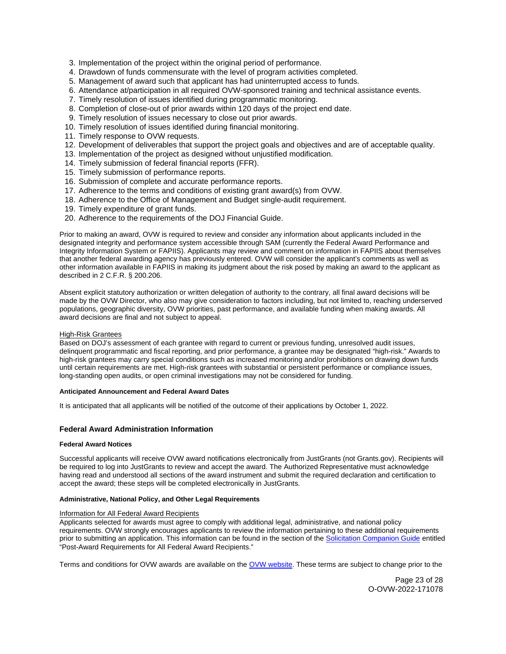- <span id="page-22-0"></span>3. Implementation of the project within the original period of performance.
- 4. Drawdown of funds commensurate with the level of program activities completed.
- 5. Management of award such that applicant has had uninterrupted access to funds.
- 6. Attendance at/participation in all required OVW-sponsored training and technical assistance events.
- 7. Timely resolution of issues identified during programmatic monitoring.
- 8. Completion of close-out of prior awards within 120 days of the project end date.
- 9. Timely resolution of issues necessary to close out prior awards.
- 10. Timely resolution of issues identified during financial monitoring.
- 11. Timely response to OVW requests.
- 12. Development of deliverables that support the project goals and objectives and are of acceptable quality.
- 13. Implementation of the project as designed without unjustified modification.
- 14. Timely submission of federal financial reports (FFR).
- 15. Timely submission of performance reports.
- 16. Submission of complete and accurate performance reports.
- 17. Adherence to the terms and conditions of existing grant award(s) from OVW.
- 18. Adherence to the Office of Management and Budget single-audit requirement.
- 19. Timely expenditure of grant funds.
- 20. Adherence to the requirements of the DOJ Financial Guide.

Prior to making an award, OVW is required to review and consider any information about applicants included in the designated integrity and performance system accessible through SAM (currently the Federal Award Performance and Integrity Information System or FAPIIS). Applicants may review and comment on information in FAPIIS about themselves that another federal awarding agency has previously entered. OVW will consider the applicant's comments as well as other information available in FAPIIS in making its judgment about the risk posed by making an award to the applicant as described in 2 C.F.R. § 200.206.

Absent explicit statutory authorization or written delegation of authority to the contrary, all final award decisions will be made by the OVW Director, who also may give consideration to factors including, but not limited to, reaching underserved populations, geographic diversity, OVW priorities, past performance, and available funding when making awards. All award decisions are final and not subject to appeal.

#### High-Risk Grantees

Based on DOJ's assessment of each grantee with regard to current or previous funding, unresolved audit issues, delinquent programmatic and fiscal reporting, and prior performance, a grantee may be designated "high-risk." Awards to high-risk grantees may carry special conditions such as increased monitoring and/or prohibitions on drawing down funds until certain requirements are met. High-risk grantees with substantial or persistent performance or compliance issues, long-standing open audits, or open criminal investigations may not be considered for funding.

#### **Anticipated Announcement and Federal Award Dates**

It is anticipated that all applicants will be notified of the outcome of their applications by October 1, 2022.

#### **Federal Award Administration Information**

#### **Federal Award Notices**

Successful applicants will receive OVW award notifications electronically from JustGrants (not [Grants.gov](https://Grants.gov)). Recipients will be required to log into JustGrants to review and accept the award. The Authorized Representative must acknowledge having read and understood all sections of the award instrument and submit the required declaration and certification to accept the award; these steps will be completed electronically in JustGrants.

#### **Administrative, National Policy, and Other Legal Requirements**

#### Information for All Federal Award Recipients

Applicants selected for awards must agree to comply with additional legal, administrative, and national policy requirements. OVW strongly encourages applicants to review the information pertaining to these additional requirements prior to submitting an application. This information can be found in the section of the [Solicitation Companion Guide](https://www.justice.gov/ovw/resources-applicants) entitled "Post-Award Requirements for All Federal Award Recipients."

Terms and conditions for OVW awards are available on the [OVW website.](https://www.justice.gov/ovw/award-conditions) These terms are subject to change prior to the

Page 23 of 28 O-OVW-2022-171078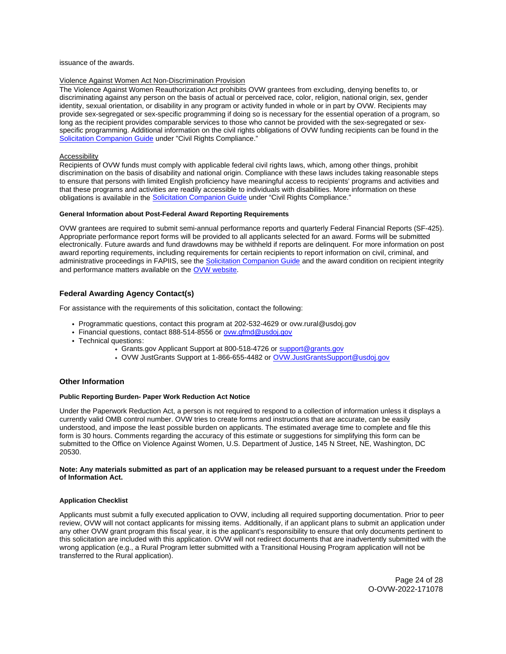<span id="page-23-0"></span>issuance of the awards.

#### Violence Against Women Act Non-Discrimination Provision

The Violence Against Women Reauthorization Act prohibits OVW grantees from excluding, denying benefits to, or discriminating against any person on the basis of actual or perceived race, color, religion, national origin, sex, gender identity, sexual orientation, or disability in any program or activity funded in whole or in part by OVW. Recipients may provide sex-segregated or sex-specific programming if doing so is necessary for the essential operation of a program, so long as the recipient provides comparable services to those who cannot be provided with the sex-segregated or sexspecific programming. Additional information on the civil rights obligations of OVW funding recipients can be found in the [Solicitation Companion Guide](https://www.justice.gov/ovw/resources-applicants) under "Civil Rights Compliance."

#### Accessibility

Recipients of OVW funds must comply with applicable federal civil rights laws, which, among other things, prohibit discrimination on the basis of disability and national origin. Compliance with these laws includes taking reasonable steps to ensure that persons with limited English proficiency have meaningful access to recipients' programs and activities and that these programs and activities are readily accessible to individuals with disabilities. More information on these obligations is available in the [Solicitation Companion Guide](https://www.justice.gov/ovw/resources-applicants) under "Civil Rights Compliance."

#### **General Information about Post-Federal Award Reporting Requirements**

OVW grantees are required to submit semi-annual performance reports and quarterly Federal Financial Reports (SF-425). Appropriate performance report forms will be provided to all applicants selected for an award. Forms will be submitted electronically. Future awards and fund drawdowns may be withheld if reports are delinquent. For more information on post award reporting requirements, including requirements for certain recipients to report information on civil, criminal, and administrative proceedings in FAPIIS, see the [Solicitation Companion Guide](https://www.justice.gov/ovw/resources-applicants) and the award condition on recipient integrity and performance matters available on the [OVW website.](https://www.justice.gov/ovw/award-conditions)

# **Federal Awarding Agency Contact(s)**

For assistance with the requirements of this solicitation, contact the following:

- Programmatic questions, contact this program at 202-532-4629 or [ovw.rural@usdoj.gov](mailto:ovw.rural@usdoj.gov)
- Financial questions, contact 888-514-8556 or ovw.gfmd@usdoj.gov
- Technical questions:
	- [Grants.gov](https://Grants.gov) Applicant Support at 800-518-4726 or support@grants.gov
	- OVW JustGrants Support at 1-866-655-4482 or [OVW.JustGrantsSupport@usdoj.gov](mailto:OVW.JustGrantsSupport@usdoj.gov)

#### **Other Information**

#### **Public Reporting Burden- Paper Work Reduction Act Notice**

Under the Paperwork Reduction Act, a person is not required to respond to a collection of information unless it displays a currently valid OMB control number. OVW tries to create forms and instructions that are accurate, can be easily understood, and impose the least possible burden on applicants. The estimated average time to complete and file this form is 30 hours. Comments regarding the accuracy of this estimate or suggestions for simplifying this form can be submitted to the Office on Violence Against Women, U.S. Department of Justice, 145 N Street, NE, Washington, DC 20530.

#### **Note: Any materials submitted as part of an application may be released pursuant to a request under the Freedom of Information Act.**

#### **Application Checklist**

Applicants must submit a fully executed application to OVW, including all required supporting documentation. Prior to peer review, OVW will not contact applicants for missing items. Additionally, if an applicant plans to submit an application under any other OVW grant program this fiscal year, it is the applicant's responsibility to ensure that only documents pertinent to this solicitation are included with this application. OVW will not redirect documents that are inadvertently submitted with the wrong application (e.g., a Rural Program letter submitted with a Transitional Housing Program application will not be transferred to the Rural application).

> Page 24 of 28 O-OVW-2022-171078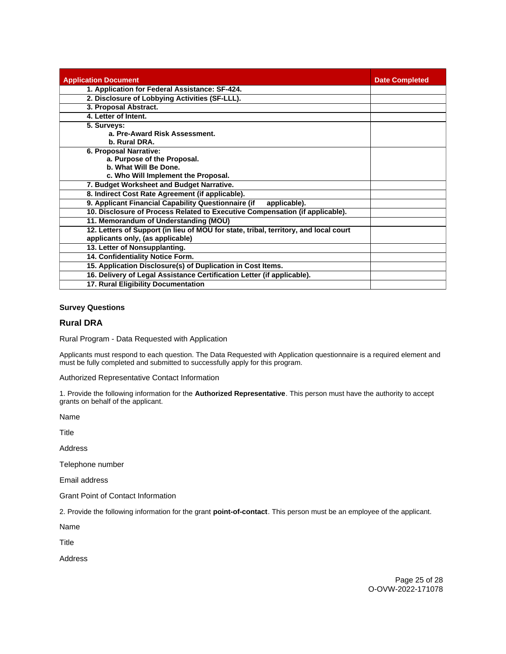<span id="page-24-0"></span>

| <b>Application Document</b>                                                          | <b>Date Completed</b> |
|--------------------------------------------------------------------------------------|-----------------------|
| 1. Application for Federal Assistance: SF-424.                                       |                       |
| 2. Disclosure of Lobbying Activities (SF-LLL).                                       |                       |
| 3. Proposal Abstract.                                                                |                       |
| 4. Letter of Intent.                                                                 |                       |
| 5. Surveys:                                                                          |                       |
| a. Pre-Award Risk Assessment.                                                        |                       |
| b. Rural DRA.                                                                        |                       |
| 6. Proposal Narrative:                                                               |                       |
| a. Purpose of the Proposal.                                                          |                       |
| b. What Will Be Done.                                                                |                       |
| c. Who Will Implement the Proposal.                                                  |                       |
| 7. Budget Worksheet and Budget Narrative.                                            |                       |
| 8. Indirect Cost Rate Agreement (if applicable).                                     |                       |
| 9. Applicant Financial Capability Questionnaire (if<br>applicable).                  |                       |
| 10. Disclosure of Process Related to Executive Compensation (if applicable).         |                       |
| 11. Memorandum of Understanding (MOU)                                                |                       |
| 12. Letters of Support (in lieu of MOU for state, tribal, territory, and local court |                       |
| applicants only, (as applicable)                                                     |                       |
| 13. Letter of Nonsupplanting.                                                        |                       |
| 14. Confidentiality Notice Form.                                                     |                       |
| 15. Application Disclosure(s) of Duplication in Cost Items.                          |                       |
| 16. Delivery of Legal Assistance Certification Letter (if applicable).               |                       |
| 17. Rural Eligibility Documentation                                                  |                       |

# **Survey Questions**

# **Rural DRA**

Rural Program - Data Requested with Application

Applicants must respond to each question. The Data Requested with Application questionnaire is a required element and must be fully completed and submitted to successfully apply for this program.

Authorized Representative Contact Information

1. Provide the following information for the **Authorized Representative**. This person must have the authority to accept grants on behalf of the applicant.

Name

Title

Address

Telephone number

Email address

Grant Point of Contact Information

2. Provide the following information for the grant **point-of-contact**. This person must be an employee of the applicant.

Name

Title

Address

Page 25 of 28 O-OVW-2022-171078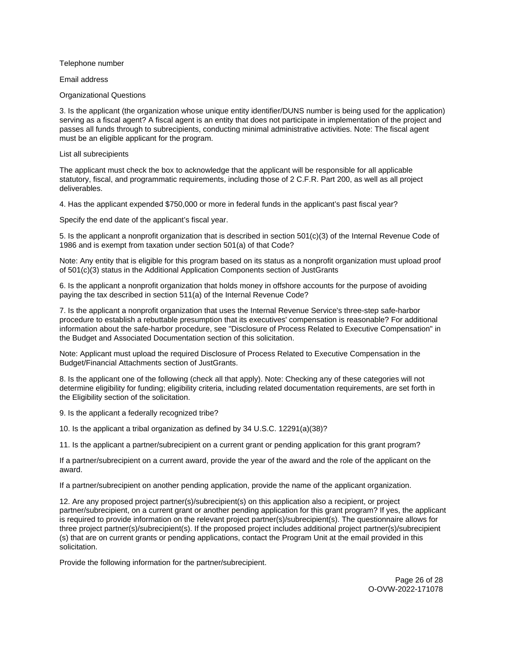Telephone number

Email address

Organizational Questions

3. Is the applicant (the organization whose unique entity identifier/DUNS number is being used for the application) serving as a fiscal agent? A fiscal agent is an entity that does not participate in implementation of the project and passes all funds through to subrecipients, conducting minimal administrative activities. Note: The fiscal agent must be an eligible applicant for the program.

List all subrecipients

The applicant must check the box to acknowledge that the applicant will be responsible for all applicable statutory, fiscal, and programmatic requirements, including those of 2 C.F.R. Part 200, as well as all project deliverables.

4. Has the applicant expended \$750,000 or more in federal funds in the applicant's past fiscal year?

Specify the end date of the applicant's fiscal year.

5. Is the applicant a nonprofit organization that is described in section 501(c)(3) of the Internal Revenue Code of 1986 and is exempt from taxation under section 501(a) of that Code?

Note: Any entity that is eligible for this program based on its status as a nonprofit organization must upload proof of 501(c)(3) status in the Additional Application Components section of JustGrants

6. Is the applicant a nonprofit organization that holds money in offshore accounts for the purpose of avoiding paying the tax described in section 511(a) of the Internal Revenue Code?

7. Is the applicant a nonprofit organization that uses the Internal Revenue Service's three-step safe-harbor procedure to establish a rebuttable presumption that its executives' compensation is reasonable? For additional information about the safe-harbor procedure, see "Disclosure of Process Related to Executive Compensation" in the Budget and Associated Documentation section of this solicitation.

Note: Applicant must upload the required Disclosure of Process Related to Executive Compensation in the Budget/Financial Attachments section of JustGrants.

8. Is the applicant one of the following (check all that apply). Note: Checking any of these categories will not determine eligibility for funding; eligibility criteria, including related documentation requirements, are set forth in the Eligibility section of the solicitation.

9. Is the applicant a federally recognized tribe?

10. Is the applicant a tribal organization as defined by 34 U.S.C. 12291(a)(38)?

11. Is the applicant a partner/subrecipient on a current grant or pending application for this grant program?

If a partner/subrecipient on a current award, provide the year of the award and the role of the applicant on the award.

If a partner/subrecipient on another pending application, provide the name of the applicant organization.

12. Are any proposed project partner(s)/subrecipient(s) on this application also a recipient, or project partner/subrecipient, on a current grant or another pending application for this grant program? If yes, the applicant is required to provide information on the relevant project partner(s)/subrecipient(s). The questionnaire allows for three project partner(s)/subrecipient(s). If the proposed project includes additional project partner(s)/subrecipient (s) that are on current grants or pending applications, contact the Program Unit at the email provided in this solicitation.

Provide the following information for the partner/subrecipient.

Page 26 of 28 O-OVW-2022-171078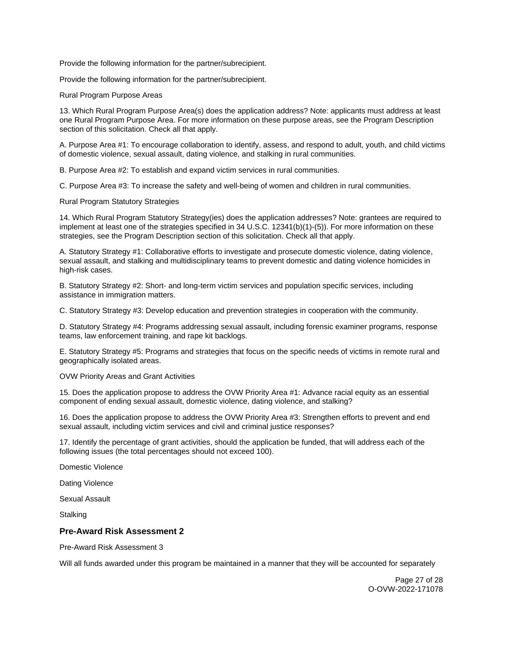Provide the following information for the partner/subrecipient.

Provide the following information for the partner/subrecipient.

Rural Program Purpose Areas

13. Which Rural Program Purpose Area(s) does the application address? Note: applicants must address at least one Rural Program Purpose Area. For more information on these purpose areas, see the Program Description section of this solicitation. Check all that apply.

A. Purpose Area #1: To encourage collaboration to identify, assess, and respond to adult, youth, and child victims of domestic violence, sexual assault, dating violence, and stalking in rural communities.

B. Purpose Area #2: To establish and expand victim services in rural communities.

C. Purpose Area #3: To increase the safety and well-being of women and children in rural communities.

Rural Program Statutory Strategies

14. Which Rural Program Statutory Strategy(ies) does the application addresses? Note: grantees are required to implement at least one of the strategies specified in 34 U.S.C. 12341(b)(1)-(5)). For more information on these strategies, see the Program Description section of this solicitation. Check all that apply.

A. Statutory Strategy #1: Collaborative efforts to investigate and prosecute domestic violence, dating violence, sexual assault, and stalking and multidisciplinary teams to prevent domestic and dating violence homicides in high-risk cases.

B. Statutory Strategy #2: Short- and long-term victim services and population specific services, including assistance in immigration matters.

C. Statutory Strategy #3: Develop education and prevention strategies in cooperation with the community.

D. Statutory Strategy #4: Programs addressing sexual assault, including forensic examiner programs, response teams, law enforcement training, and rape kit backlogs.

E. Statutory Strategy #5: Programs and strategies that focus on the specific needs of victims in remote rural and geographically isolated areas.

OVW Priority Areas and Grant Activities

15. Does the application propose to address the OVW Priority Area #1: Advance racial equity as an essential component of ending sexual assault, domestic violence, dating violence, and stalking?

16. Does the application propose to address the OVW Priority Area #3: Strengthen efforts to prevent and end sexual assault, including victim services and civil and criminal justice responses?

17. Identify the percentage of grant activities, should the application be funded, that will address each of the following issues (the total percentages should not exceed 100).

Domestic Violence

Dating Violence

Sexual Assault

**Stalking** 

# **Pre-Award Risk Assessment 2**

Pre-Award Risk Assessment 3

Will all funds awarded under this program be maintained in a manner that they will be accounted for separately

Page 27 of 28 O-OVW-2022-171078